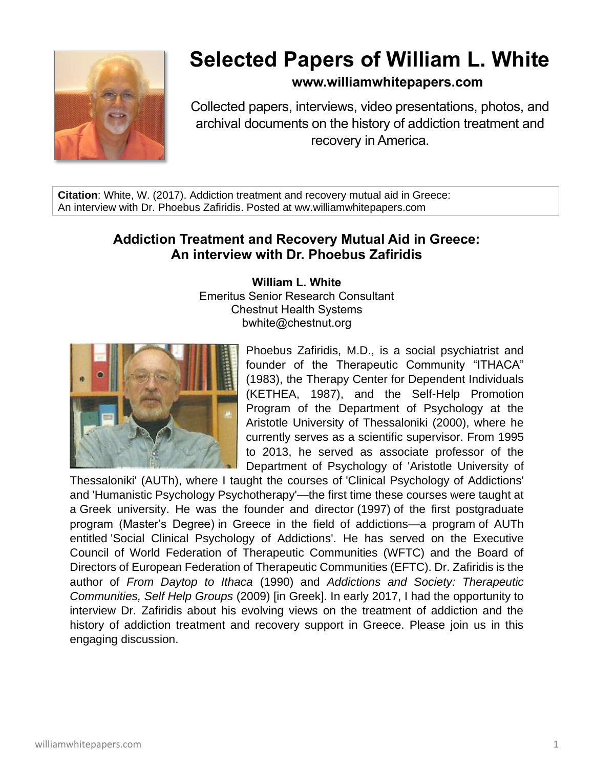

# **Selected Papers of William L. White**

## **www.williamwhitepapers.com**

Collected papers, interviews, video presentations, photos, and archival documents on the history of addiction treatment and recovery in America.

**Citation**: White, W. (2017). Addiction treatment and recovery mutual aid in Greece: An interview with Dr. Phoebus Zafiridis. Posted at ww.williamwhitepapers.com

# **Addiction Treatment and Recovery Mutual Aid in Greece: An interview with Dr. Phoebus Zafiridis**

**William L. White** Emeritus Senior Research Consultant Chestnut Health Systems bwhite@chestnut.org



Phoebus Zafiridis, M.D., is a social psychiatrist and founder of the Therapeutic Community "ITHACA" (1983), the Therapy Center for Dependent Individuals (KETHEA, 1987), and the Self-Help Promotion Program of the Department of Psychology at the Aristotle University of Thessaloniki (2000), where he currently serves as a scientific supervisor. From 1995 to 2013, he served as associate professor of the Department of Psychology of 'Aristotle University of

Thessaloniki' (AUTh), where I taught the courses of 'Clinical Psychology of Addictions' and 'Humanistic Psychology Psychotherapy'—the first time these courses were taught at a Greek university. He was the founder and director (1997) of the first postgraduate program (Master's Degree) in Greece in the field of addictions—a program of AUTh entitled 'Social Clinical Psychology of Addictions'. He has served on the Executive Council of World Federation of Therapeutic Communities (WFTC) and the Board of Directors of European Federation of Therapeutic Communities (EFTC). Dr. Zafiridis is the author of *From Daytop to Ithaca* (1990) and *Addictions and Society: Therapeutic Communities, Self Help Groups* (2009) [in Greek]. In early 2017, I had the opportunity to interview Dr. Zafiridis about his evolving views on the treatment of addiction and the history of addiction treatment and recovery support in Greece. Please join us in this engaging discussion.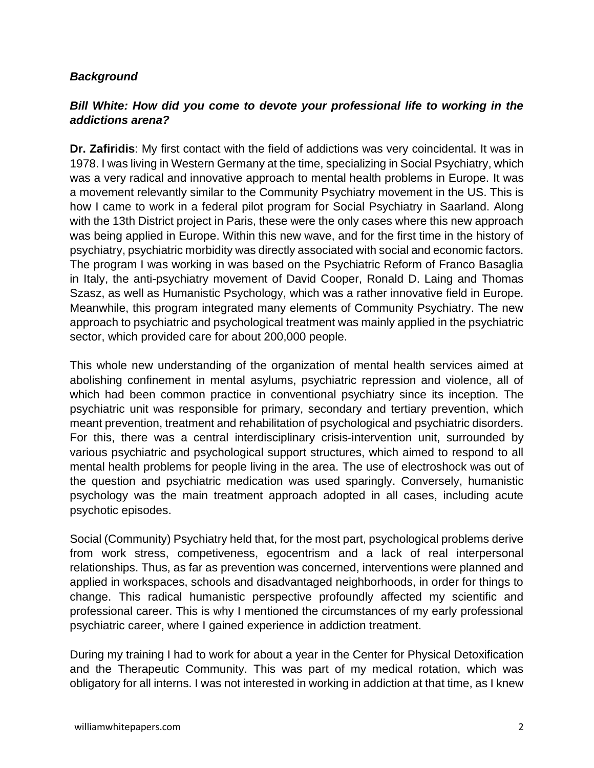#### *Background*

## *Bill White: How did you come to devote your professional life to working in the addictions arena?*

**Dr. Zafiridis**: My first contact with the field of addictions was very coincidental. It was in 1978. I was living in Western Germany at the time, specializing in Social Psychiatry, which was a very radical and innovative approach to mental health problems in Europe. It was a movement relevantly similar to the Community Psychiatry movement in the US. This is how I came to work in a federal pilot program for Social Psychiatry in Saarland. Along with the 13th District project in Paris, these were the only cases where this new approach was being applied in Europe. Within this new wave, and for the first time in the history of psychiatry, psychiatric morbidity was directly associated with social and economic factors. The program I was working in was based on the Psychiatric Reform of Franco Basaglia in Italy, the anti-psychiatry movement of David Cooper, Ronald D. Laing and Thomas Szasz, as well as Humanistic Psychology, which was a rather innovative field in Europe. Meanwhile, this program integrated many elements of Community Psychiatry. The new approach to psychiatric and psychological treatment was mainly applied in the psychiatric sector, which provided care for about 200,000 people.

This whole new understanding of the organization of mental health services aimed at abolishing confinement in mental asylums, psychiatric repression and violence, all of which had been common practice in conventional psychiatry since its inception. The psychiatric unit was responsible for primary, secondary and tertiary prevention, which meant prevention, treatment and rehabilitation of psychological and psychiatric disorders. For this, there was a central interdisciplinary crisis-intervention unit, surrounded by various psychiatric and psychological support structures, which aimed to respond to all mental health problems for people living in the area. The use of electroshock was out of the question and psychiatric medication was used sparingly. Conversely, humanistic psychology was the main treatment approach adopted in all cases, including acute psychotic episodes.

Social (Community) Psychiatry held that, for the most part, psychological problems derive from work stress, competiveness, egocentrism and a lack of real interpersonal relationships. Thus, as far as prevention was concerned, interventions were planned and applied in workspaces, schools and disadvantaged neighborhoods, in order for things to change. This radical humanistic perspective profoundly affected my scientific and professional career. This is why I mentioned the circumstances of my early professional psychiatric career, where I gained experience in addiction treatment.

During my training I had to work for about a year in the Center for Physical Detoxification and the Therapeutic Community. This was part of my medical rotation, which was obligatory for all interns. I was not interested in working in addiction at that time, as I knew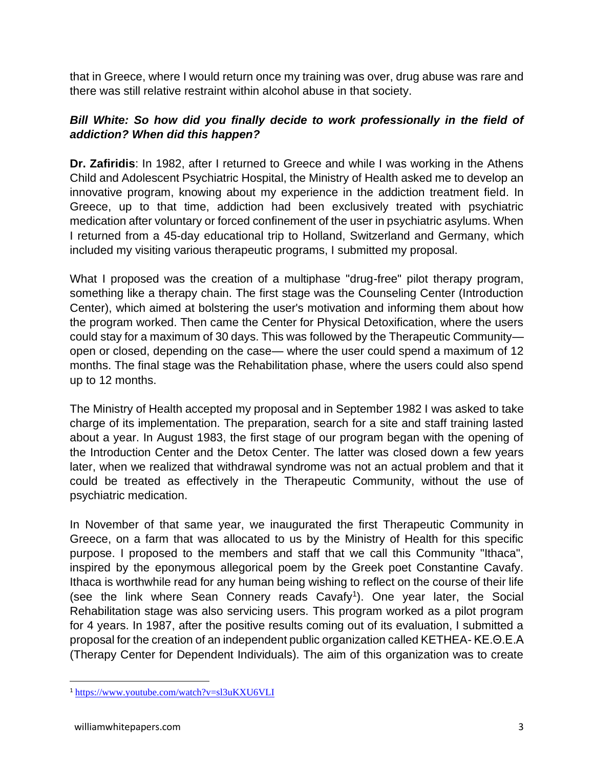that in Greece, where I would return once my training was over, drug abuse was rare and there was still relative restraint within alcohol abuse in that society.

## *Bill White: So how did you finally decide to work professionally in the field of addiction? When did this happen?*

**Dr. Zafiridis**: In 1982, after I returned to Greece and while I was working in the Athens Child and Adolescent Psychiatric Hospital, the Ministry of Health asked me to develop an innovative program, knowing about my experience in the addiction treatment field. In Greece, up to that time, addiction had been exclusively treated with psychiatric medication after voluntary or forced confinement of the user in psychiatric asylums. When I returned from a 45-day educational trip to Holland, Switzerland and Germany, which included my visiting various therapeutic programs, I submitted my proposal.

What I proposed was the creation of a multiphase "drug-free" pilot therapy program, something like a therapy chain. The first stage was the Counseling Center (Introduction Center), which aimed at bolstering the user's motivation and informing them about how the program worked. Then came the Center for Physical Detoxification, where the users could stay for a maximum of 30 days. This was followed by the Therapeutic Community open or closed, depending on the case— where the user could spend a maximum of 12 months. The final stage was the Rehabilitation phase, where the users could also spend up to 12 months.

The Ministry of Health accepted my proposal and in September 1982 I was asked to take charge of its implementation. The preparation, search for a site and staff training lasted about a year. In August 1983, the first stage of our program began with the opening of the Introduction Center and the Detox Center. The latter was closed down a few years later, when we realized that withdrawal syndrome was not an actual problem and that it could be treated as effectively in the Therapeutic Community, without the use of psychiatric medication.

In November of that same year, we inaugurated the first Therapeutic Community in Greece, on a farm that was allocated to us by the Ministry of Health for this specific purpose. I proposed to the members and staff that we call this Community "Ithaca", inspired by the eponymous allegorical poem by the Greek poet Constantine Cavafy. Ithaca is worthwhile read for any human being wishing to reflect on the course of their life (see the link where Sean Connery reads Cavafy<sup>1</sup>). One year later, the Social Rehabilitation stage was also servicing users. This program worked as a pilot program for 4 years. In 1987, after the positive results coming out of its evaluation, I submitted a proposal for the creation of an independent public organization called KETHEA- ΚΕ.Θ.Ε.Α (Therapy Center for Dependent Individuals). The aim of this organization was to create

<sup>1</sup> <https://www.youtube.com/watch?v=sl3uKXU6VLI>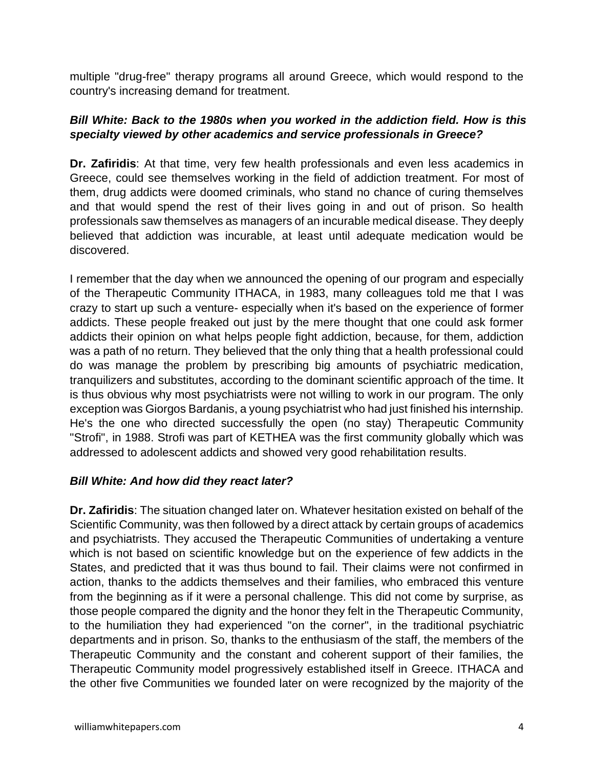multiple "drug-free" therapy programs all around Greece, which would respond to the country's increasing demand for treatment.

#### *Bill White: Back to the 1980s when you worked in the addiction field. How is this specialty viewed by other academics and service professionals in Greece?*

**Dr. Zafiridis**: At that time, very few health professionals and even less academics in Greece, could see themselves working in the field of addiction treatment. For most of them, drug addicts were doomed criminals, who stand no chance of curing themselves and that would spend the rest of their lives going in and out of prison. So health professionals saw themselves as managers of an incurable medical disease. They deeply believed that addiction was incurable, at least until adequate medication would be discovered.

I remember that the day when we announced the opening of our program and especially of the Therapeutic Community ITHACA, in 1983, many colleagues told me that I was crazy to start up such a venture- especially when it's based on the experience of former addicts. These people freaked out just by the mere thought that one could ask former addicts their opinion on what helps people fight addiction, because, for them, addiction was a path of no return. They believed that the only thing that a health professional could do was manage the problem by prescribing big amounts of psychiatric medication, tranquilizers and substitutes, according to the dominant scientific approach of the time. It is thus obvious why most psychiatrists were not willing to work in our program. The only exception was Giorgos Bardanis, a young psychiatrist who had just finished his internship. He's the one who directed successfully the open (no stay) Therapeutic Community "Strofi", in 1988. Strofi was part of KETHEA was the first community globally which was addressed to adolescent addicts and showed very good rehabilitation results.

#### *Bill White: And how did they react later?*

**Dr. Zafiridis**: The situation changed later on. Whatever hesitation existed on behalf of the Scientific Community, was then followed by a direct attack by certain groups of academics and psychiatrists. They accused the Therapeutic Communities of undertaking a venture which is not based on scientific knowledge but on the experience of few addicts in the States, and predicted that it was thus bound to fail. Their claims were not confirmed in action, thanks to the addicts themselves and their families, who embraced this venture from the beginning as if it were a personal challenge. This did not come by surprise, as those people compared the dignity and the honor they felt in the Therapeutic Community, to the humiliation they had experienced "on the corner", in the traditional psychiatric departments and in prison. So, thanks to the enthusiasm of the staff, the members of the Therapeutic Community and the constant and coherent support of their families, the Therapeutic Community model progressively established itself in Greece. ITHACA and the other five Communities we founded later on were recognized by the majority of the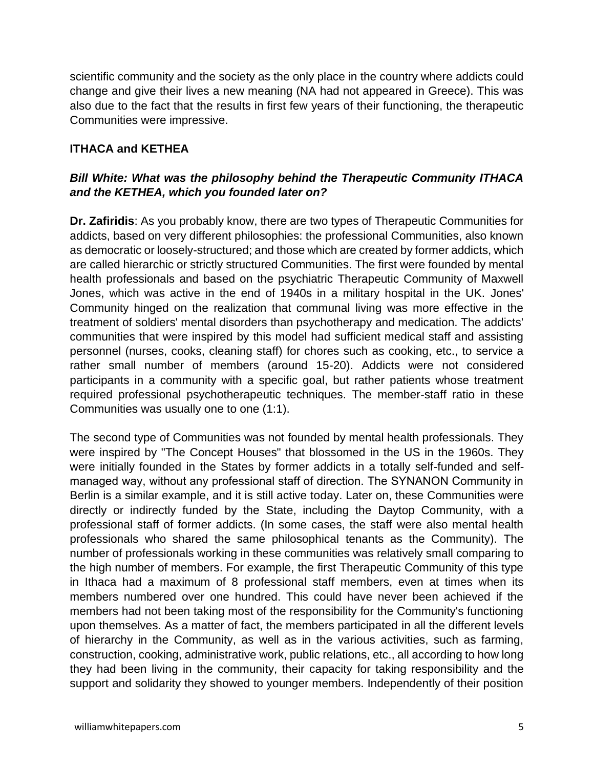scientific community and the society as the only place in the country where addicts could change and give their lives a new meaning (NA had not appeared in Greece). This was also due to the fact that the results in first few years of their functioning, the therapeutic Communities were impressive.

## **ITHACA and KETHEA**

## *Bill White: What was the philosophy behind the Therapeutic Community ITHACA and the KETHEA, which you founded later on?*

**Dr. Zafiridis**: As you probably know, there are two types of Therapeutic Communities for addicts, based on very different philosophies: the professional Communities, also known as democratic or loosely-structured; and those which are created by former addicts, which are called hierarchic or strictly structured Communities. The first were founded by mental health professionals and based on the psychiatric Therapeutic Community of Maxwell Jones, which was active in the end of 1940s in a military hospital in the UK. Jones' Community hinged on the realization that communal living was more effective in the treatment of soldiers' mental disorders than psychotherapy and medication. The addicts' communities that were inspired by this model had sufficient medical staff and assisting personnel (nurses, cooks, cleaning staff) for chores such as cooking, etc., to service a rather small number of members (around 15-20). Addicts were not considered participants in a community with a specific goal, but rather patients whose treatment required professional psychotherapeutic techniques. The member-staff ratio in these Communities was usually one to one (1:1).

The second type of Communities was not founded by mental health professionals. They were inspired by "The Concept Houses" that blossomed in the US in the 1960s. They were initially founded in the States by former addicts in a totally self-funded and selfmanaged way, without any professional staff of direction. The SΥNANON Community in Berlin is a similar example, and it is still active today. Later on, these Communities were directly or indirectly funded by the State, including the Daytop Community, with a professional staff of former addicts. (In some cases, the staff were also mental health professionals who shared the same philosophical tenants as the Community). The number of professionals working in these communities was relatively small comparing to the high number of members. For example, the first Therapeutic Community of this type in Ithaca had a maximum of 8 professional staff members, even at times when its members numbered over one hundred. This could have never been achieved if the members had not been taking most of the responsibility for the Community's functioning upon themselves. As a matter of fact, the members participated in all the different levels of hierarchy in the Community, as well as in the various activities, such as farming, construction, cooking, administrative work, public relations, etc., all according to how long they had been living in the community, their capacity for taking responsibility and the support and solidarity they showed to younger members. Independently of their position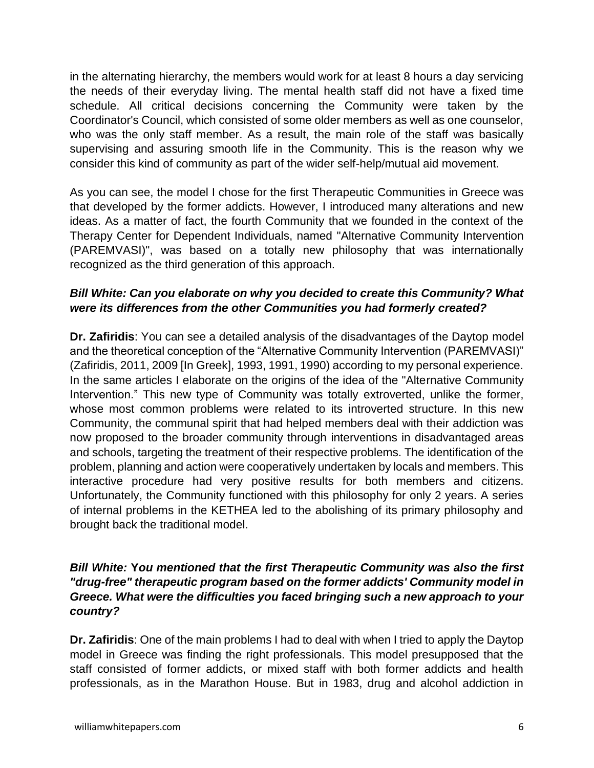in the alternating hierarchy, the members would work for at least 8 hours a day servicing the needs of their everyday living. The mental health staff did not have a fixed time schedule. All critical decisions concerning the Community were taken by the Coordinator's Council, which consisted of some older members as well as one counselor, who was the only staff member. As a result, the main role of the staff was basically supervising and assuring smooth life in the Community. This is the reason why we consider this kind of community as part of the wider self-help/mutual aid movement.

As you can see, the model I chose for the first Therapeutic Communities in Greece was that developed by the former addicts. However, I introduced many alterations and new ideas. As a matter of fact, the fourth Community that we founded in the context of the Therapy Center for Dependent Individuals, named "Alternative Community Intervention (PAREMVASI)", was based on a totally new philosophy that was internationally recognized as the third generation of this approach.

## *Bill White: Can you elaborate on why you decided to create this Community? What were its differences from the other Communities you had formerly created?*

**Dr. Zafiridis**: You can see a detailed analysis of the disadvantages of the Daytop model and the theoretical conception of the "Alternative Community Intervention (PAREMVASI)" (Zafiridis, 2011, 2009 [In Greek], 1993, 1991, 1990) according to my personal experience. In the same articles I elaborate on the origins of the idea of the "Alternative Community" Intervention." This new type of Community was totally extroverted, unlike the former, whose most common problems were related to its introverted structure. In this new Community, the communal spirit that had helped members deal with their addiction was now proposed to the broader community through interventions in disadvantaged areas and schools, targeting the treatment of their respective problems. The identification of the problem, planning and action were cooperatively undertaken by locals and members. This interactive procedure had very positive results for both members and citizens. Unfortunately, the Community functioned with this philosophy for only 2 years. A series of internal problems in the KETHEA led to the abolishing of its primary philosophy and brought back the traditional model.

## *Bill White:* **Y***ou mentioned that the first Therapeutic Community was also the first "drug-free" therapeutic program based on the former addicts' Community model in Greece. What were the difficulties you faced bringing such a new approach to your country?*

**Dr. Zafiridis**: One of the main problems I had to deal with when I tried to apply the Daytop model in Greece was finding the right professionals. This model presupposed that the staff consisted of former addicts, or mixed staff with both former addicts and health professionals, as in the Marathon House. But in 1983, drug and alcohol addiction in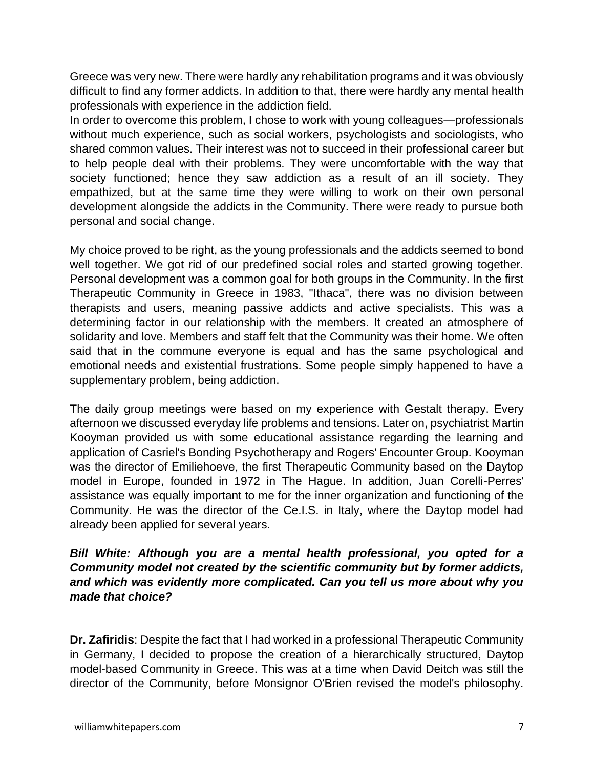Greece was very new. There were hardly any rehabilitation programs and it was obviously difficult to find any former addicts. In addition to that, there were hardly any mental health professionals with experience in the addiction field.

In order to overcome this problem, I chose to work with young colleagues—professionals without much experience, such as social workers, psychologists and sociologists, who shared common values. Their interest was not to succeed in their professional career but to help people deal with their problems. They were uncomfortable with the way that society functioned; hence they saw addiction as a result of an ill society. They empathized, but at the same time they were willing to work on their own personal development alongside the addicts in the Community. There were ready to pursue both personal and social change.

My choice proved to be right, as the young professionals and the addicts seemed to bond well together. We got rid of our predefined social roles and started growing together. Personal development was a common goal for both groups in the Community. In the first Therapeutic Community in Greece in 1983, "Ithaca", there was no division between therapists and users, meaning passive addicts and active specialists. This was a determining factor in our relationship with the members. It created an atmosphere of solidarity and love. Members and staff felt that the Community was their home. We often said that in the commune everyone is equal and has the same psychological and emotional needs and existential frustrations. Some people simply happened to have a supplementary problem, being addiction.

The daily group meetings were based on my experience with Gestalt therapy. Every afternoon we discussed everyday life problems and tensions. Later on, psychiatrist Martin Kooyman provided us with some educational assistance regarding the learning and application of Casriel's Bonding Psychotherapy and Rogers' Encounter Group. Kooyman was the director of Εmiliehoeve, the first Therapeutic Community based on the Daytop model in Europe, founded in 1972 in The Hague. In addition, Juan Corelli-Perres' assistance was equally important to me for the inner organization and functioning of the Community. He was the director of the Ce.I.S. in Italy, where the Daytop model had already been applied for several years.

## *Bill White: Although you are a mental health professional, you opted for a Community model not created by the scientific community but by former addicts, and which was evidently more complicated. Can you tell us more about why you made that choice?*

**Dr. Zafiridis**: Despite the fact that I had worked in a professional Therapeutic Community in Germany, I decided to propose the creation of a hierarchically structured, Daytop model-based Community in Greece. This was at a time when David Deitch was still the director of the Community, before Monsignor O'Brien revised the model's philosophy.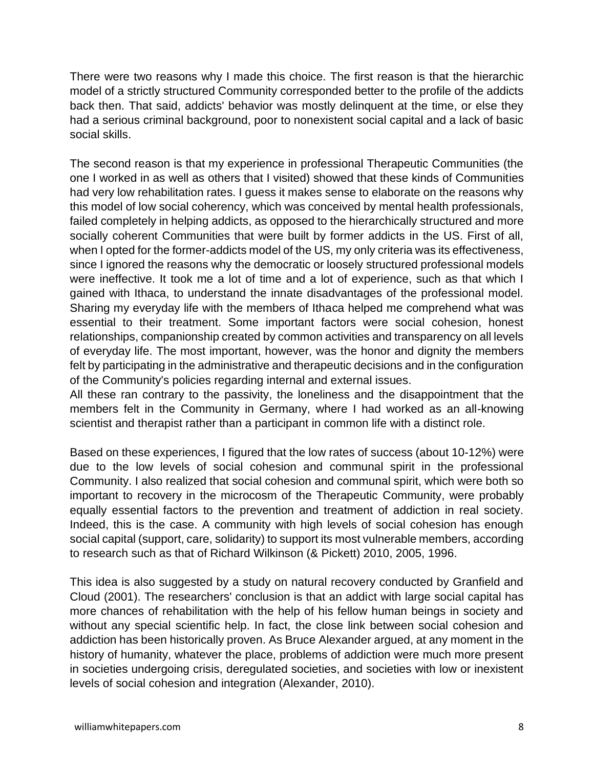There were two reasons why I made this choice. The first reason is that the hierarchic model of a strictly structured Community corresponded better to the profile of the addicts back then. That said, addicts' behavior was mostly delinquent at the time, or else they had a serious criminal background, poor to nonexistent social capital and a lack of basic social skills.

The second reason is that my experience in professional Therapeutic Communities (the one I worked in as well as others that I visited) showed that these kinds of Communities had very low rehabilitation rates. I guess it makes sense to elaborate on the reasons why this model of low social coherency, which was conceived by mental health professionals, failed completely in helping addicts, as opposed to the hierarchically structured and more socially coherent Communities that were built by former addicts in the US. First of all, when I opted for the former-addicts model of the US, my only criteria was its effectiveness, since I ignored the reasons why the democratic or loosely structured professional models were ineffective. It took me a lot of time and a lot of experience, such as that which I gained with Ithaca, to understand the innate disadvantages of the professional model. Sharing my everyday life with the members of Ithaca helped me comprehend what was essential to their treatment. Some important factors were social cohesion, honest relationships, companionship created by common activities and transparency on all levels of everyday life. The most important, however, was the honor and dignity the members felt by participating in the administrative and therapeutic decisions and in the configuration of the Community's policies regarding internal and external issues.

All these ran contrary to the passivity, the loneliness and the disappointment that the members felt in the Community in Germany, where I had worked as an all-knowing scientist and therapist rather than a participant in common life with a distinct role.

Based on these experiences, I figured that the low rates of success (about 10-12%) were due to the low levels of social cohesion and communal spirit in the professional Community. I also realized that social cohesion and communal spirit, which were both so important to recovery in the microcosm of the Therapeutic Community, were probably equally essential factors to the prevention and treatment of addiction in real society. Indeed, this is the case. A community with high levels of social cohesion has enough social capital (support, care, solidarity) to support its most vulnerable members, according to research such as that of Richard Wilkinson (& Pickett) 2010, 2005, 1996.

This idea is also suggested by a study on natural recovery conducted by Granfield and Cloud (2001). The researchers' conclusion is that an addict with large social capital has more chances of rehabilitation with the help of his fellow human beings in society and without any special scientific help. In fact, the close link between social cohesion and addiction has been historically proven. As Bruce Alexander argued, at any moment in the history of humanity, whatever the place, problems of addiction were much more present in societies undergoing crisis, deregulated societies, and societies with low or inexistent levels of social cohesion and integration (Alexander, 2010).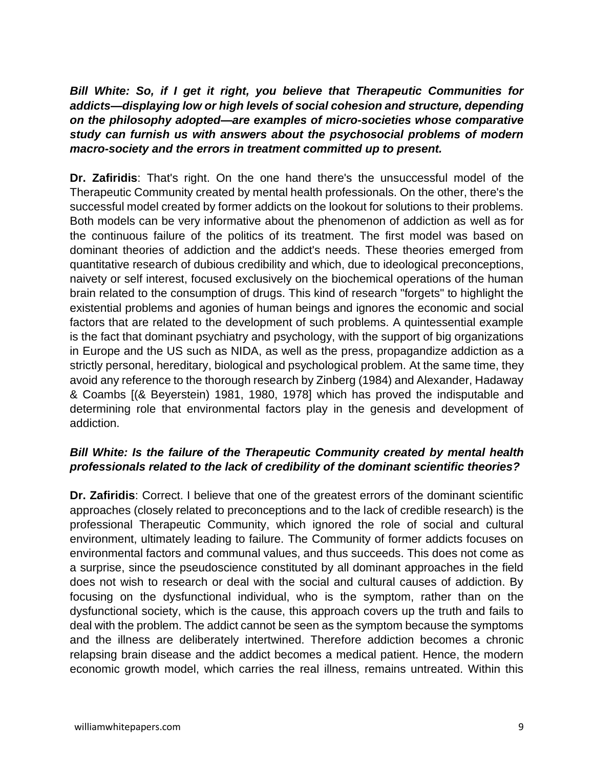*Bill White: So, if I get it right, you believe that Therapeutic Communities for addicts—displaying low or high levels of social cohesion and structure, depending on the philosophy adopted—are examples of micro-societies whose comparative study can furnish us with answers about the psychosocial problems of modern macro-society and the errors in treatment committed up to present.*

**Dr. Zafiridis**: That's right. On the one hand there's the unsuccessful model of the Therapeutic Community created by mental health professionals. On the other, there's the successful model created by former addicts on the lookout for solutions to their problems. Both models can be very informative about the phenomenon of addiction as well as for the continuous failure of the politics of its treatment. The first model was based on dominant theories of addiction and the addict's needs. These theories emerged from quantitative research of dubious credibility and which, due to ideological preconceptions, naivety or self interest, focused exclusively on the biochemical operations of the human brain related to the consumption of drugs. This kind of research "forgets" to highlight the existential problems and agonies of human beings and ignores the economic and social factors that are related to the development of such problems. A quintessential example is the fact that dominant psychiatry and psychology, with the support of big organizations in Europe and the US such as NIDA, as well as the press, propagandize addiction as a strictly personal, hereditary, biological and psychological problem. At the same time, they avoid any reference to the thorough research by Zinberg (1984) and Alexander, Hadaway & Coambs [(& Beyerstein) 1981, 1980, 1978] which has proved the indisputable and determining role that environmental factors play in the genesis and development of addiction.

## *Bill White: Is the failure of the Therapeutic Community created by mental health professionals related to the lack of credibility of the dominant scientific theories?*

**Dr. Zafiridis**: Correct. I believe that one of the greatest errors of the dominant scientific approaches (closely related to preconceptions and to the lack of credible research) is the professional Therapeutic Community, which ignored the role of social and cultural environment, ultimately leading to failure. The Community of former addicts focuses on environmental factors and communal values, and thus succeeds. This does not come as a surprise, since the pseudoscience constituted by all dominant approaches in the field does not wish to research or deal with the social and cultural causes of addiction. By focusing on the dysfunctional individual, who is the symptom, rather than on the dysfunctional society, which is the cause, this approach covers up the truth and fails to deal with the problem. The addict cannot be seen as the symptom because the symptoms and the illness are deliberately intertwined. Therefore addiction becomes a chronic relapsing brain disease and the addict becomes a medical patient. Hence, the modern economic growth model, which carries the real illness, remains untreated. Within this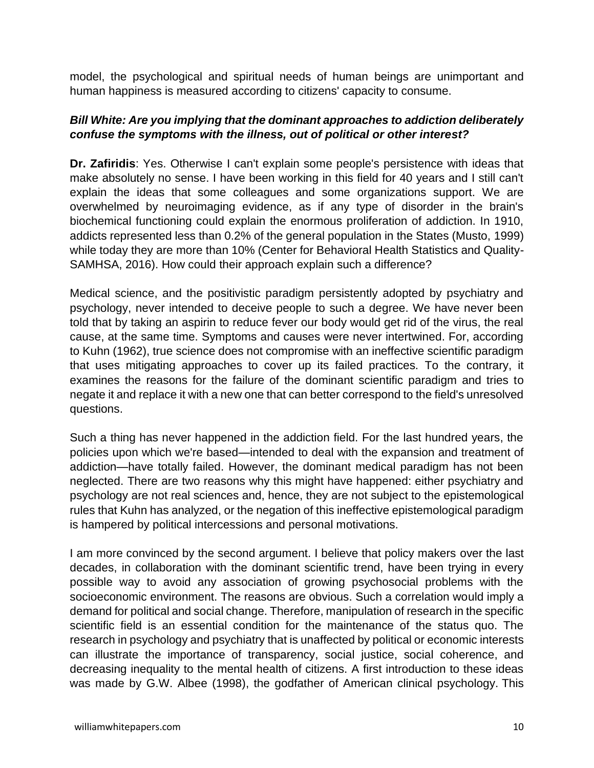model, the psychological and spiritual needs of human beings are unimportant and human happiness is measured according to citizens' capacity to consume.

#### *Bill White: Are you implying that the dominant approaches to addiction deliberately confuse the symptoms with the illness, out of political or other interest?*

**Dr. Zafiridis**: Yes. Otherwise I can't explain some people's persistence with ideas that make absolutely no sense. I have been working in this field for 40 years and I still can't explain the ideas that some colleagues and some organizations support. We are overwhelmed by neuroimaging evidence, as if any type of disorder in the brain's biochemical functioning could explain the enormous proliferation of addiction. In 1910, addicts represented less than 0.2% of the general population in the States (Musto, 1999) while today they are more than 10% (Center for Behavioral Health Statistics and Quality-SAMHSA, 2016). How could their approach explain such a difference?

Medical science, and the positivistic paradigm persistently adopted by psychiatry and psychology, never intended to deceive people to such a degree. We have never been told that by taking an aspirin to reduce fever our body would get rid of the virus, the real cause, at the same time. Symptoms and causes were never intertwined. For, according to Kuhn (1962), true science does not compromise with an ineffective scientific paradigm that uses mitigating approaches to cover up its failed practices. To the contrary, it examines the reasons for the failure of the dominant scientific paradigm and tries to negate it and replace it with a new one that can better correspond to the field's unresolved questions.

Such a thing has never happened in the addiction field. For the last hundred years, the policies upon which we're based—intended to deal with the expansion and treatment of addiction—have totally failed. However, the dominant medical paradigm has not been neglected. There are two reasons why this might have happened: either psychiatry and psychology are not real sciences and, hence, they are not subject to the epistemological rules that Kuhn has analyzed, or the negation of this ineffective epistemological paradigm is hampered by political intercessions and personal motivations.

I am more convinced by the second argument. I believe that policy makers over the last decades, in collaboration with the dominant scientific trend, have been trying in every possible way to avoid any association of growing psychosocial problems with the socioeconomic environment. The reasons are obvious. Such a correlation would imply a demand for political and social change. Therefore, manipulation of research in the specific scientific field is an essential condition for the maintenance of the status quo. The research in psychology and psychiatry that is unaffected by political or economic interests can illustrate the importance of transparency, social justice, social coherence, and decreasing inequality to the mental health of citizens. A first introduction to these ideas was made by G.W. Albee (1998), the godfather of American clinical psychology. This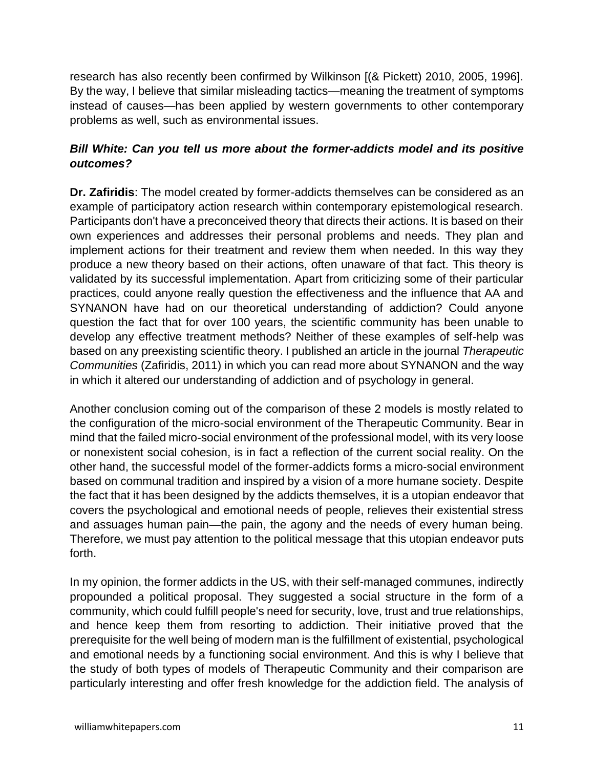research has also recently been confirmed by Wilkinson [(& Pickett) 2010, 2005, 1996]. By the way, I believe that similar misleading tactics—meaning the treatment of symptoms instead of causes—has been applied by western governments to other contemporary problems as well, such as environmental issues.

## *Bill White: Can you tell us more about the former-addicts model and its positive outcomes?*

**Dr. Zafiridis**: The model created by former-addicts themselves can be considered as an example of participatory action research within contemporary epistemological research. Participants don't have a preconceived theory that directs their actions. It is based on their own experiences and addresses their personal problems and needs. They plan and implement actions for their treatment and review them when needed. In this way they produce a new theory based on their actions, often unaware of that fact. This theory is validated by its successful implementation. Apart from criticizing some of their particular practices, could anyone really question the effectiveness and the influence that AA and SYNANON have had on our theoretical understanding of addiction? Could anyone question the fact that for over 100 years, the scientific community has been unable to develop any effective treatment methods? Neither of these examples of self-help was based on any preexisting scientific theory. I published an article in the journal *Therapeutic Communities* (Zafiridis, 2011) in which you can read more about SYNANON and the way in which it altered our understanding of addiction and of psychology in general.

Another conclusion coming out of the comparison of these 2 models is mostly related to the configuration of the micro-social environment of the Therapeutic Community. Bear in mind that the failed micro-social environment of the professional model, with its very loose or nonexistent social cohesion, is in fact a reflection of the current social reality. On the other hand, the successful model of the former-addicts forms a micro-social environment based on communal tradition and inspired by a vision of a more humane society. Despite the fact that it has been designed by the addicts themselves, it is a utopian endeavor that covers the psychological and emotional needs of people, relieves their existential stress and assuages human pain—the pain, the agony and the needs of every human being. Therefore, we must pay attention to the political message that this utopian endeavor puts forth.

In my opinion, the former addicts in the US, with their self-managed communes, indirectly propounded a political proposal. They suggested a social structure in the form of a community, which could fulfill people's need for security, love, trust and true relationships, and hence keep them from resorting to addiction. Their initiative proved that the prerequisite for the well being of modern man is the fulfillment of existential, psychological and emotional needs by a functioning social environment. And this is why I believe that the study of both types of models of Therapeutic Community and their comparison are particularly interesting and offer fresh knowledge for the addiction field. The analysis of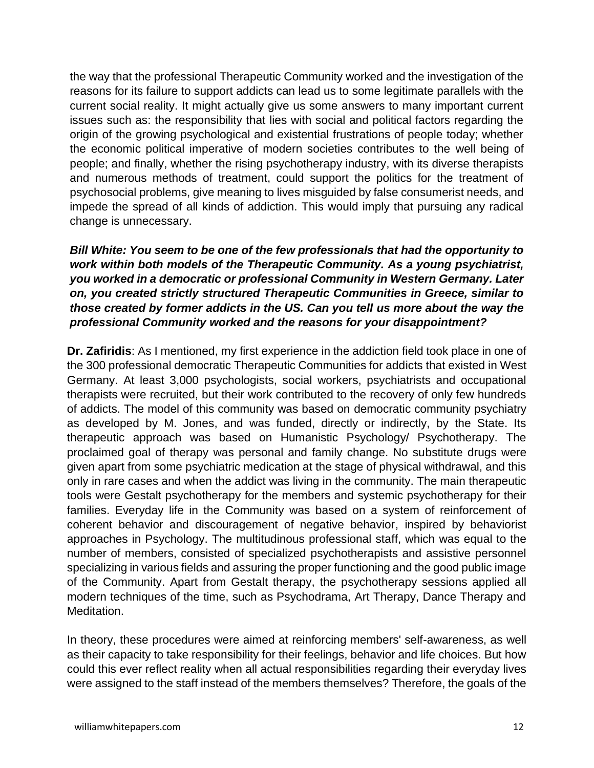the way that the professional Therapeutic Community worked and the investigation of the reasons for its failure to support addicts can lead us to some legitimate parallels with the current social reality. It might actually give us some answers to many important current issues such as: the responsibility that lies with social and political factors regarding the origin of the growing psychological and existential frustrations of people today; whether the economic political imperative of modern societies contributes to the well being of people; and finally, whether the rising psychotherapy industry, with its diverse therapists and numerous methods of treatment, could support the politics for the treatment of psychosocial problems, give meaning to lives misguided by false consumerist needs, and impede the spread of all kinds of addiction. This would imply that pursuing any radical change is unnecessary.

## *Bill White: You seem to be one of the few professionals that had the opportunity to work within both models of the Therapeutic Community. As a young psychiatrist, you worked in a democratic or professional Community in Western Germany. Later on, you created strictly structured Therapeutic Communities in Greece, similar to those created by former addicts in the US. Can you tell us more about the way the professional Community worked and the reasons for your disappointment?*

**Dr. Zafiridis**: As I mentioned, my first experience in the addiction field took place in one of the 300 professional democratic Therapeutic Communities for addicts that existed in West Germany. At least 3,000 psychologists, social workers, psychiatrists and occupational therapists were recruited, but their work contributed to the recovery of only few hundreds of addicts. The model of this community was based on democratic community psychiatry as developed by M. Jones, and was funded, directly or indirectly, by the State. Its therapeutic approach was based on Humanistic Psychology/ Psychotherapy. The proclaimed goal of therapy was personal and family change. No substitute drugs were given apart from some psychiatric medication at the stage of physical withdrawal, and this only in rare cases and when the addict was living in the community. The main therapeutic tools were Gestalt psychotherapy for the members and systemic psychotherapy for their families. Everyday life in the Community was based on a system of reinforcement of coherent behavior and discouragement of negative behavior, inspired by behaviorist approaches in Psychology. The multitudinous professional staff, which was equal to the number of members, consisted of specialized psychotherapists and assistive personnel specializing in various fields and assuring the proper functioning and the good public image of the Community. Apart from Gestalt therapy, the psychotherapy sessions applied all modern techniques of the time, such as Psychodrama, Art Therapy, Dance Therapy and Meditation.

In theory, these procedures were aimed at reinforcing members' self-awareness, as well as their capacity to take responsibility for their feelings, behavior and life choices. But how could this ever reflect reality when all actual responsibilities regarding their everyday lives were assigned to the staff instead of the members themselves? Therefore, the goals of the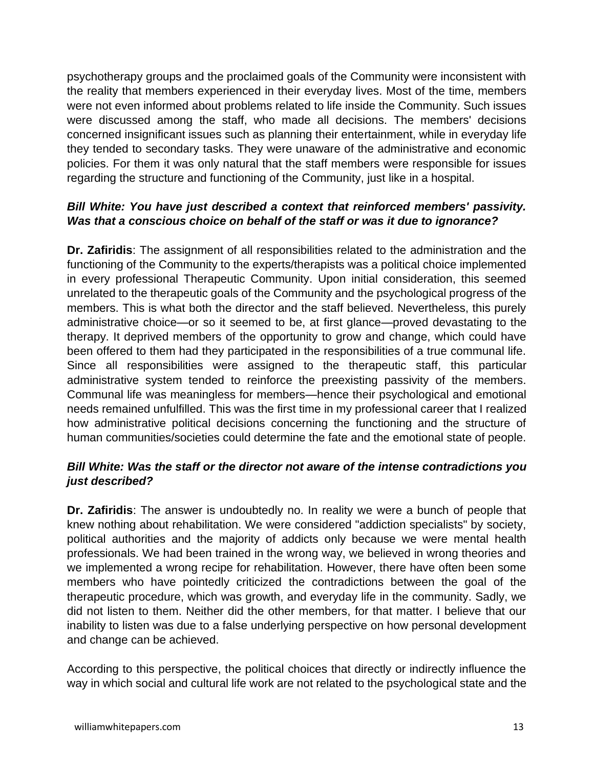psychotherapy groups and the proclaimed goals of the Community were inconsistent with the reality that members experienced in their everyday lives. Most of the time, members were not even informed about problems related to life inside the Community. Such issues were discussed among the staff, who made all decisions. The members' decisions concerned insignificant issues such as planning their entertainment, while in everyday life they tended to secondary tasks. They were unaware of the administrative and economic policies. For them it was only natural that the staff members were responsible for issues regarding the structure and functioning of the Community, just like in a hospital.

## *Bill White: You have just described a context that reinforced members' passivity. Was that a conscious choice on behalf of the staff or was it due to ignorance?*

**Dr. Zafiridis**: The assignment of all responsibilities related to the administration and the functioning of the Community to the experts/therapists was a political choice implemented in every professional Therapeutic Community. Upon initial consideration, this seemed unrelated to the therapeutic goals of the Community and the psychological progress of the members. This is what both the director and the staff believed. Nevertheless, this purely administrative choice—or so it seemed to be, at first glance—proved devastating to the therapy. It deprived members of the opportunity to grow and change, which could have been offered to them had they participated in the responsibilities of a true communal life. Since all responsibilities were assigned to the therapeutic staff, this particular administrative system tended to reinforce the preexisting passivity of the members. Communal life was meaningless for members—hence their psychological and emotional needs remained unfulfilled. This was the first time in my professional career that I realized how administrative political decisions concerning the functioning and the structure of human communities/societies could determine the fate and the emotional state of people.

## *Bill White: Was the staff or the director not aware of the intense contradictions you just described?*

**Dr. Zafiridis**: The answer is undoubtedly no. In reality we were a bunch of people that knew nothing about rehabilitation. We were considered "addiction specialists" by society, political authorities and the majority of addicts only because we were mental health professionals. We had been trained in the wrong way, we believed in wrong theories and we implemented a wrong recipe for rehabilitation. However, there have often been some members who have pointedly criticized the contradictions between the goal of the therapeutic procedure, which was growth, and everyday life in the community. Sadly, we did not listen to them. Neither did the other members, for that matter. I believe that our inability to listen was due to a false underlying perspective on how personal development and change can be achieved.

According to this perspective, the political choices that directly or indirectly influence the way in which social and cultural life work are not related to the psychological state and the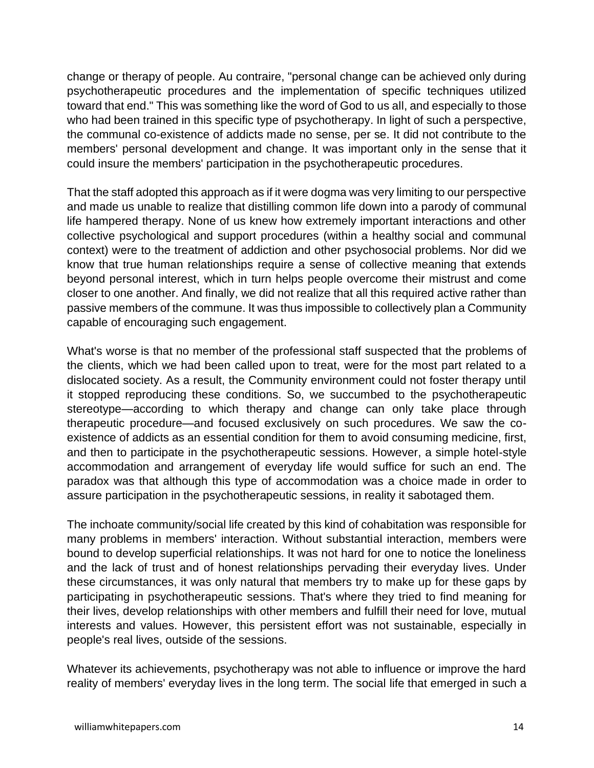change or therapy of people. Au contraire, "personal change can be achieved only during psychotherapeutic procedures and the implementation of specific techniques utilized toward that end." This was something like the word of God to us all, and especially to those who had been trained in this specific type of psychotherapy. In light of such a perspective, the communal co-existence of addicts made no sense, per se. It did not contribute to the members' personal development and change. It was important only in the sense that it could insure the members' participation in the psychotherapeutic procedures.

That the staff adopted this approach as if it were dogma was very limiting to our perspective and made us unable to realize that distilling common life down into a parody of communal life hampered therapy. None of us knew how extremely important interactions and other collective psychological and support procedures (within a healthy social and communal context) were to the treatment of addiction and other psychosocial problems. Nor did we know that true human relationships require a sense of collective meaning that extends beyond personal interest, which in turn helps people overcome their mistrust and come closer to one another. And finally, we did not realize that all this required active rather than passive members of the commune. It was thus impossible to collectively plan a Community capable of encouraging such engagement.

What's worse is that no member of the professional staff suspected that the problems of the clients, which we had been called upon to treat, were for the most part related to a dislocated society. As a result, the Community environment could not foster therapy until it stopped reproducing these conditions. So, we succumbed to the psychotherapeutic stereotype—according to which therapy and change can only take place through therapeutic procedure—and focused exclusively on such procedures. We saw the coexistence of addicts as an essential condition for them to avoid consuming medicine, first, and then to participate in the psychotherapeutic sessions. However, a simple hotel-style accommodation and arrangement of everyday life would suffice for such an end. The paradox was that although this type of accommodation was a choice made in order to assure participation in the psychotherapeutic sessions, in reality it sabotaged them.

The inchoate community/social life created by this kind of cohabitation was responsible for many problems in members' interaction. Without substantial interaction, members were bound to develop superficial relationships. It was not hard for one to notice the loneliness and the lack of trust and of honest relationships pervading their everyday lives. Under these circumstances, it was only natural that members try to make up for these gaps by participating in psychotherapeutic sessions. That's where they tried to find meaning for their lives, develop relationships with other members and fulfill their need for love, mutual interests and values. However, this persistent effort was not sustainable, especially in people's real lives, outside of the sessions.

Whatever its achievements, psychotherapy was not able to influence or improve the hard reality of members' everyday lives in the long term. The social life that emerged in such a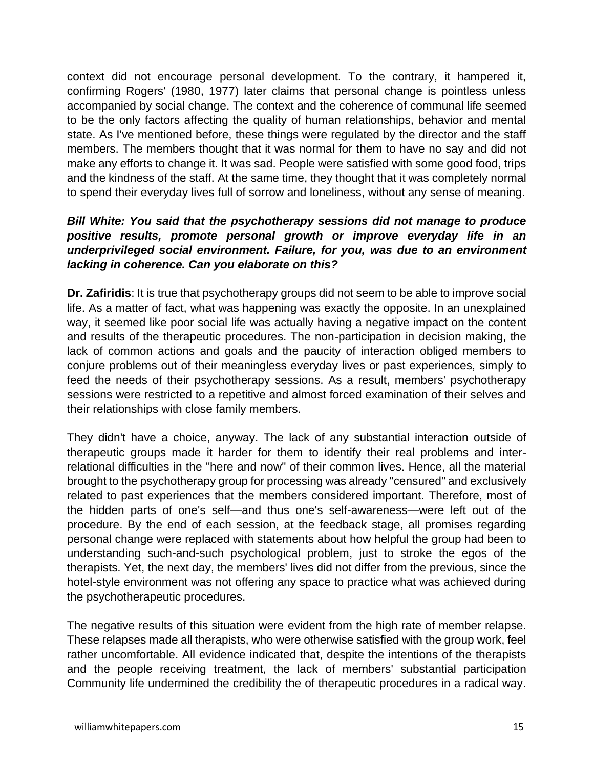context did not encourage personal development. To the contrary, it hampered it, confirming Rogers' (1980, 1977) later claims that personal change is pointless unless accompanied by social change. The context and the coherence of communal life seemed to be the only factors affecting the quality of human relationships, behavior and mental state. As I've mentioned before, these things were regulated by the director and the staff members. The members thought that it was normal for them to have no say and did not make any efforts to change it. It was sad. People were satisfied with some good food, trips and the kindness of the staff. At the same time, they thought that it was completely normal to spend their everyday lives full of sorrow and loneliness, without any sense of meaning.

#### *Bill White: You said that the psychotherapy sessions did not manage to produce positive results, promote personal growth or improve everyday life in an underprivileged social environment. Failure, for you, was due to an environment lacking in coherence. Can you elaborate on this?*

**Dr. Zafiridis**: It is true that psychotherapy groups did not seem to be able to improve social life. As a matter of fact, what was happening was exactly the opposite. In an unexplained way, it seemed like poor social life was actually having a negative impact on the content and results of the therapeutic procedures. The non-participation in decision making, the lack of common actions and goals and the paucity of interaction obliged members to conjure problems out of their meaningless everyday lives or past experiences, simply to feed the needs of their psychotherapy sessions. As a result, members' psychotherapy sessions were restricted to a repetitive and almost forced examination of their selves and their relationships with close family members.

They didn't have a choice, anyway. The lack of any substantial interaction outside of therapeutic groups made it harder for them to identify their real problems and interrelational difficulties in the "here and now" of their common lives. Hence, all the material brought to the psychotherapy group for processing was already "censured" and exclusively related to past experiences that the members considered important. Therefore, most of the hidden parts of one's self—and thus one's self-awareness—were left out of the procedure. By the end of each session, at the feedback stage, all promises regarding personal change were replaced with statements about how helpful the group had been to understanding such-and-such psychological problem, just to stroke the egos of the therapists. Yet, the next day, the members' lives did not differ from the previous, since the hotel-style environment was not offering any space to practice what was achieved during the psychotherapeutic procedures.

The negative results of this situation were evident from the high rate of member relapse. These relapses made all therapists, who were otherwise satisfied with the group work, feel rather uncomfortable. All evidence indicated that, despite the intentions of the therapists and the people receiving treatment, the lack of members' substantial participation Community life undermined the credibility the of therapeutic procedures in a radical way.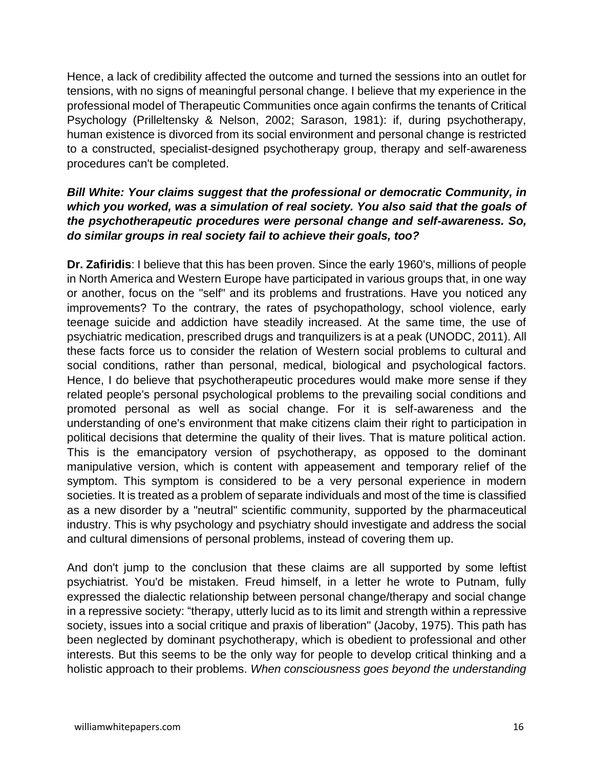Hence, a lack of credibility affected the outcome and turned the sessions into an outlet for tensions, with no signs of meaningful personal change. I believe that my experience in the professional model of Therapeutic Communities once again confirms the tenants of Critical Psychology (Prilleltensky & Nelson, 2002; Sarason, 1981): if, during psychotherapy, human existence is divorced from its social environment and personal change is restricted to a constructed, specialist-designed psychotherapy group, therapy and self-awareness procedures can't be completed.

## *Bill White: Your claims suggest that the professional or democratic Community, in which you worked, was a simulation of real society. You also said that the goals of the psychotherapeutic procedures were personal change and self-awareness. So, do similar groups in real society fail to achieve their goals, too?*

**Dr. Zafiridis**: I believe that this has been proven. Since the early 1960's, millions of people in North America and Western Europe have participated in various groups that, in one way or another, focus on the "self" and its problems and frustrations. Have you noticed any improvements? To the contrary, the rates of psychopathology, school violence, early teenage suicide and addiction have steadily increased. At the same time, the use of psychiatric medication, prescribed drugs and tranquilizers is at a peak (UNODC, 2011). All these facts force us to consider the relation of Western social problems to cultural and social conditions, rather than personal, medical, biological and psychological factors. Hence, I do believe that psychotherapeutic procedures would make more sense if they related people's personal psychological problems to the prevailing social conditions and promoted personal as well as social change. For it is self-awareness and the understanding of one's environment that make citizens claim their right to participation in political decisions that determine the quality of their lives. That is mature political action. This is the emancipatory version of psychotherapy, as opposed to the dominant manipulative version, which is content with appeasement and temporary relief of the symptom. This symptom is considered to be a very personal experience in modern societies. It is treated as a problem of separate individuals and most of the time is classified as a new disorder by a "neutral" scientific community, supported by the pharmaceutical industry. This is why psychology and psychiatry should investigate and address the social and cultural dimensions of personal problems, instead of covering them up.

And don't jump to the conclusion that these claims are all supported by some leftist psychiatrist. You'd be mistaken. Freud himself, in a letter he wrote to Putnam, fully expressed the dialectic relationship between personal change/therapy and social change in a repressive society: "therapy, utterly lucid as to its limit and strength within a repressive society, issues into a social critique and praxis of liberation" (Jacoby, 1975). This path has been neglected by dominant psychotherapy, which is obedient to professional and other interests. But this seems to be the only way for people to develop critical thinking and a holistic approach to their problems. *When consciousness goes beyond the understanding*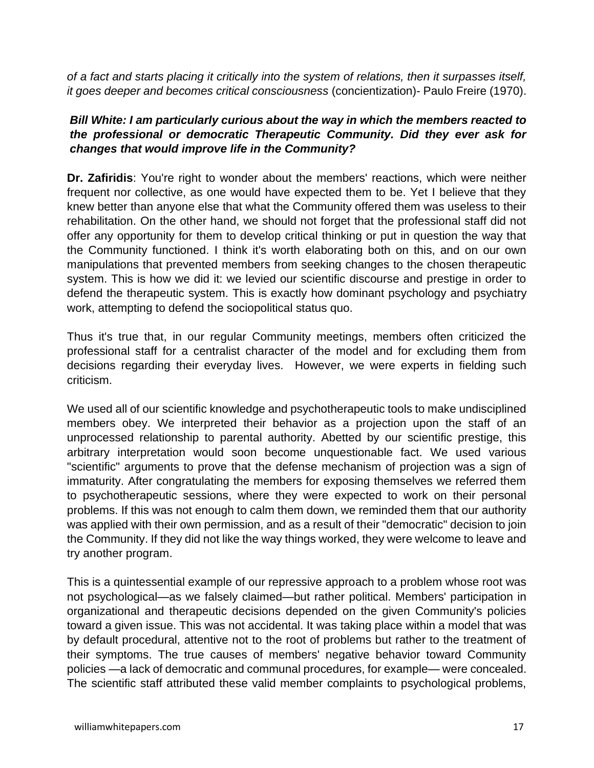*of a fact and starts placing it critically into the system of relations, then it surpasses itself, it goes deeper and becomes critical consciousness* (concientization)- Paulo Freire (1970).

## *Bill White: I am particularly curious about the way in which the members reacted to the professional or democratic Therapeutic Community. Did they ever ask for changes that would improve life in the Community?*

**Dr. Zafiridis**: You're right to wonder about the members' reactions, which were neither frequent nor collective, as one would have expected them to be. Yet I believe that they knew better than anyone else that what the Community offered them was useless to their rehabilitation. On the other hand, we should not forget that the professional staff did not offer any opportunity for them to develop critical thinking or put in question the way that the Community functioned. I think it's worth elaborating both on this, and on our own manipulations that prevented members from seeking changes to the chosen therapeutic system. This is how we did it: we levied our scientific discourse and prestige in order to defend the therapeutic system. This is exactly how dominant psychology and psychiatry work, attempting to defend the sociopolitical status quo.

Thus it's true that, in our regular Community meetings, members often criticized the professional staff for a centralist character of the model and for excluding them from decisions regarding their everyday lives. However, we were experts in fielding such criticism.

We used all of our scientific knowledge and psychotherapeutic tools to make undisciplined members obey. We interpreted their behavior as a projection upon the staff of an unprocessed relationship to parental authority. Abetted by our scientific prestige, this arbitrary interpretation would soon become unquestionable fact. We used various "scientific" arguments to prove that the defense mechanism of projection was a sign of immaturity. After congratulating the members for exposing themselves we referred them to psychotherapeutic sessions, where they were expected to work on their personal problems. If this was not enough to calm them down, we reminded them that our authority was applied with their own permission, and as a result of their "democratic" decision to join the Community. If they did not like the way things worked, they were welcome to leave and try another program.

This is a quintessential example of our repressive approach to a problem whose root was not psychological—as we falsely claimed—but rather political. Members' participation in organizational and therapeutic decisions depended on the given Community's policies toward a given issue. This was not accidental. It was taking place within a model that was by default procedural, attentive not to the root of problems but rather to the treatment of their symptoms. The true causes of members' negative behavior toward Community policies —a lack of democratic and communal procedures, for example— were concealed. The scientific staff attributed these valid member complaints to psychological problems,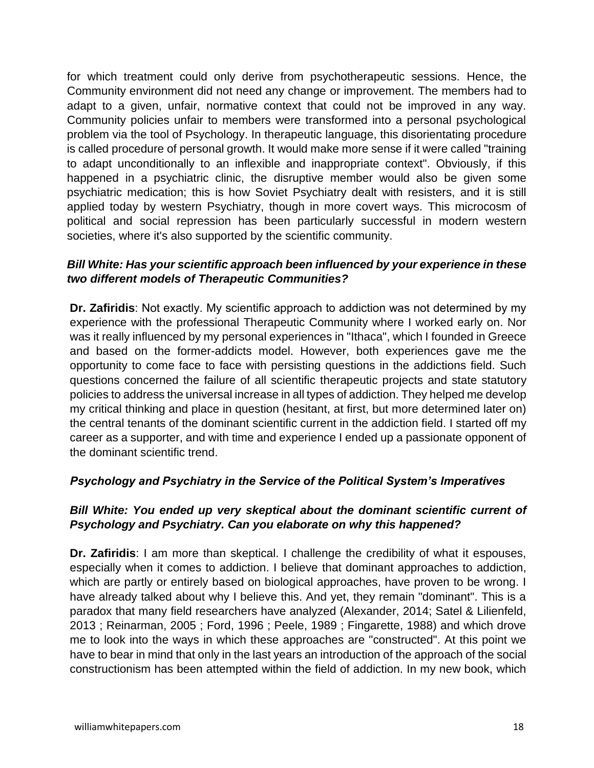for which treatment could only derive from psychotherapeutic sessions. Hence, the Community environment did not need any change or improvement. The members had to adapt to a given, unfair, normative context that could not be improved in any way. Community policies unfair to members were transformed into a personal psychological problem via the tool of Psychology. In therapeutic language, this disorientating procedure is called procedure of personal growth. It would make more sense if it were called "training to adapt unconditionally to an inflexible and inappropriate context". Obviously, if this happened in a psychiatric clinic, the disruptive member would also be given some psychiatric medication; this is how Soviet Psychiatry dealt with resisters, and it is still applied today by western Psychiatry, though in more covert ways. This microcosm of political and social repression has been particularly successful in modern western societies, where it's also supported by the scientific community.

## *Bill White: Has your scientific approach been influenced by your experience in these two different models of Therapeutic Communities?*

**Dr. Zafiridis**: Νot exactly. My scientific approach to addiction was not determined by my experience with the professional Therapeutic Community where I worked early on. Nor was it really influenced by my personal experiences in "Ithaca", which I founded in Greece and based on the former-addicts model. However, both experiences gave me the opportunity to come face to face with persisting questions in the addictions field. Such questions concerned the failure of all scientific therapeutic projects and state statutory policies to address the universal increase in all types of addiction. They helped me develop my critical thinking and place in question (hesitant, at first, but more determined later on) the central tenants of the dominant scientific current in the addiction field. I started off my career as a supporter, and with time and experience I ended up a passionate opponent of the dominant scientific trend.

#### *Psychology and Psychiatry in the Service of the Political System's Imperatives*

#### *Bill White: You ended up very skeptical about the dominant scientific current of Psychology and Psychiatry. Can you elaborate on why this happened?*

**Dr. Zafiridis**: I am more than skeptical. I challenge the credibility of what it espouses, especially when it comes to addiction. I believe that dominant approaches to addiction, which are partly or entirely based on biological approaches, have proven to be wrong. I have already talked about why I believe this. And yet, they remain "dominant". This is a paradox that many field researchers have analyzed (Alexander, 2014; Satel & Lilienfeld, 2013 ; Reinarman, 2005 ; Ford, 1996 ; Peele, 1989 ; Fingarette, 1988) and which drove me to look into the ways in which these approaches are "constructed". At this point we have to bear in mind that only in the last years an introduction of the approach of the social constructionism has been attempted within the field of addiction. In my new book, which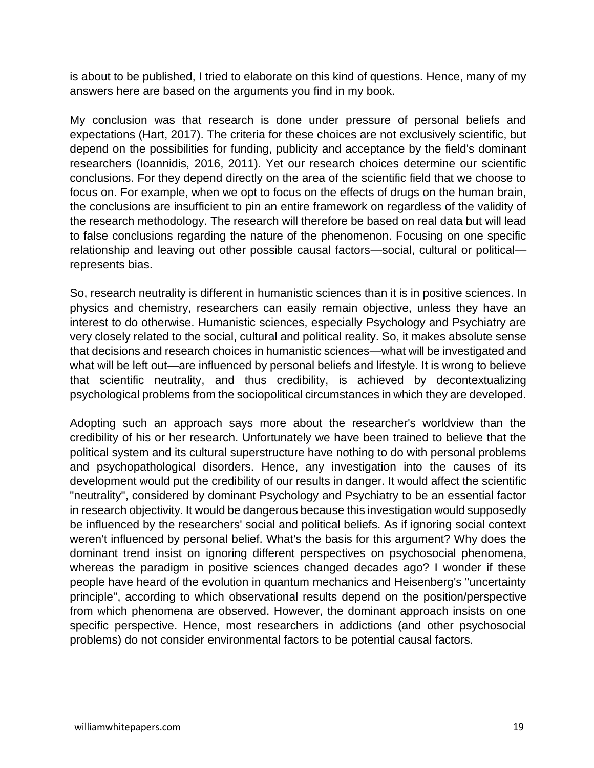is about to be published, I tried to elaborate on this kind of questions. Hence, many of my answers here are based on the arguments you find in my book.

My conclusion was that research is done under pressure of personal beliefs and expectations (Hart, 2017). The criteria for these choices are not exclusively scientific, but depend on the possibilities for funding, publicity and acceptance by the field's dominant researchers (Ioannidis, 2016, 2011). Yet our research choices determine our scientific conclusions. For they depend directly on the area of the scientific field that we choose to focus on. For example, when we opt to focus on the effects of drugs on the human brain, the conclusions are insufficient to pin an entire framework on regardless of the validity of the research methodology. The research will therefore be based on real data but will lead to false conclusions regarding the nature of the phenomenon. Focusing on one specific relationship and leaving out other possible causal factors—social, cultural or political represents bias.

So, research neutrality is different in humanistic sciences than it is in positive sciences. In physics and chemistry, researchers can easily remain objective, unless they have an interest to do otherwise. Humanistic sciences, especially Psychology and Psychiatry are very closely related to the social, cultural and political reality. So, it makes absolute sense that decisions and research choices in humanistic sciences—what will be investigated and what will be left out—are influenced by personal beliefs and lifestyle. It is wrong to believe that scientific neutrality, and thus credibility, is achieved by decontextualizing psychological problems from the sociopolitical circumstances in which they are developed.

Adopting such an approach says more about the researcher's worldview than the credibility of his or her research. Unfortunately we have been trained to believe that the political system and its cultural superstructure have nothing to do with personal problems and psychopathological disorders. Hence, any investigation into the causes of its development would put the credibility of our results in danger. It would affect the scientific "neutrality", considered by dominant Psychology and Psychiatry to be an essential factor in research objectivity. It would be dangerous because this investigation would supposedly be influenced by the researchers' social and political beliefs. As if ignoring social context weren't influenced by personal belief. What's the basis for this argument? Why does the dominant trend insist on ignoring different perspectives on psychosocial phenomena, whereas the paradigm in positive sciences changed decades ago? I wonder if these people have heard of the evolution in quantum mechanics and Heisenberg's "uncertainty principle", according to which observational results depend on the position/perspective from which phenomena are observed. However, the dominant approach insists on one specific perspective. Hence, most researchers in addictions (and other psychosocial problems) do not consider environmental factors to be potential causal factors.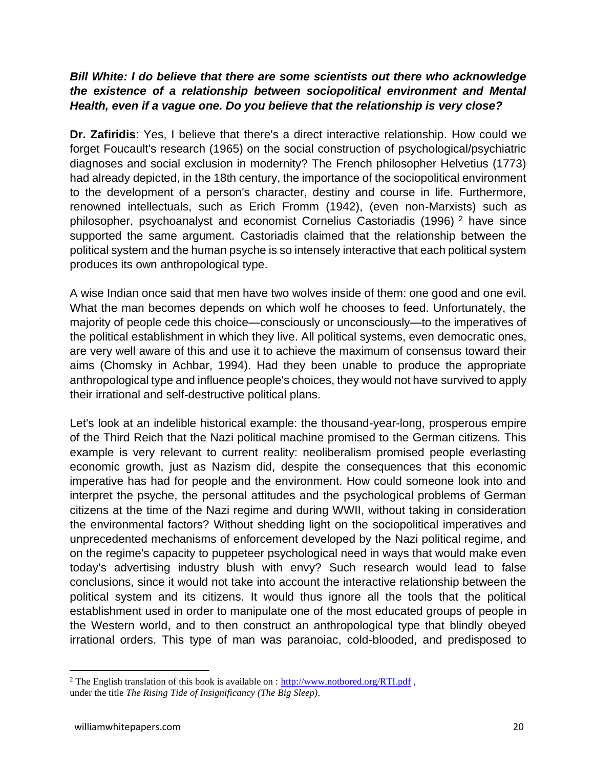## *Bill White: I do believe that there are some scientists out there who acknowledge the existence of a relationship between sociopolitical environment and Mental Health, even if a vague one. Do you believe that the relationship is very close?*

**Dr. Zafiridis**: Yes, I believe that there's a direct interactive relationship. How could we forget Foucault's research (1965) on the social construction of psychological/psychiatric diagnoses and social exclusion in modernity? The French philosopher Helvetius (1773) had already depicted, in the 18th century, the importance of the sociopolitical environment to the development of a person's character, destiny and course in life. Furthermore, renowned intellectuals, such as Erich Fromm (1942), (even non-Marxists) such as philosopher, psychoanalyst and economist Cornelius Castoriadis (1996) <sup>2</sup> have since supported the same argument. Castoriadis claimed that the relationship between the political system and the human psyche is so intensely interactive that each political system produces its own anthropological type.

A wise Indian once said that men have two wolves inside of them: one good and one evil. What the man becomes depends on which wolf he chooses to feed. Unfortunately, the majority of people cede this choice—consciously or unconsciously—to the imperatives of the political establishment in which they live. All political systems, even democratic ones, are very well aware of this and use it to achieve the maximum of consensus toward their aims (Chomsky in Achbar, 1994). Had they been unable to produce the appropriate anthropological type and influence people's choices, they would not have survived to apply their irrational and self-destructive political plans.

Let's look at an indelible historical example: the thousand-year-long, prosperous empire of the Third Reich that the Nazi political machine promised to the German citizens. This example is very relevant to current reality: neoliberalism promised people everlasting economic growth, just as Nazism did, despite the consequences that this economic imperative has had for people and the environment. How could someone look into and interpret the psyche, the personal attitudes and the psychological problems of German citizens at the time of the Nazi regime and during WWII, without taking in consideration the environmental factors? Without shedding light on the sociopolitical imperatives and unprecedented mechanisms of enforcement developed by the Nazi political regime, and on the regime's capacity to puppeteer psychological need in ways that would make even today's advertising industry blush with envy? Such research would lead to false conclusions, since it would not take into account the interactive relationship between the political system and its citizens. It would thus ignore all the tools that the political establishment used in order to manipulate one of the most educated groups of people in the Western world, and to then construct an anthropological type that blindly obeyed irrational orders. This type of man was paranoiac, cold-blooded, and predisposed to

<sup>&</sup>lt;sup>2</sup> The English translation of this book is available on :  $\frac{http://www.notbored.org/RTI.pdf}{http://www.notbored.org/RTI.pdf}$ , under the title *The Rising Tide of Insignificancy (The Big Sleep)*.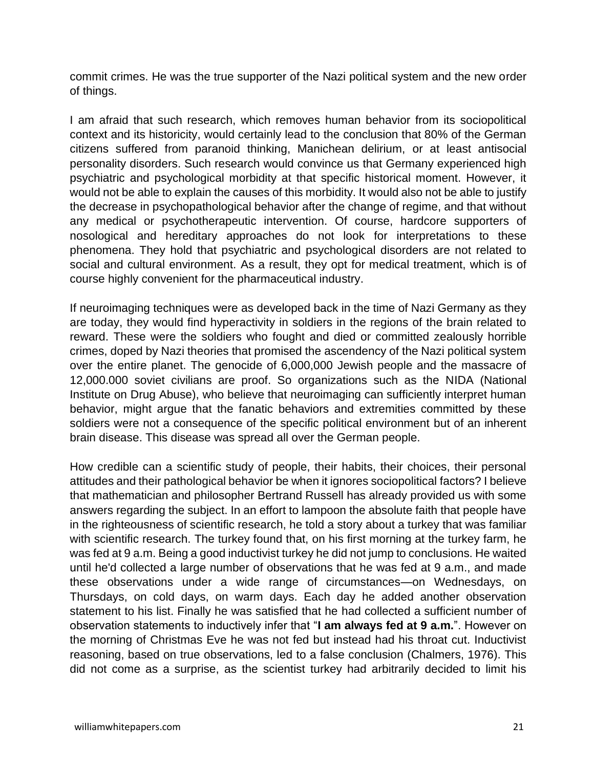commit crimes. He was the true supporter of the Nazi political system and the new order of things.

I am afraid that such research, which removes human behavior from its sociopolitical context and its historicity, would certainly lead to the conclusion that 80% of the German citizens suffered from paranoid thinking, Manichean delirium, or at least antisocial personality disorders. Such research would convince us that Germany experienced high psychiatric and psychological morbidity at that specific historical moment. However, it would not be able to explain the causes of this morbidity. It would also not be able to justify the decrease in psychopathological behavior after the change of regime, and that without any medical or psychotherapeutic intervention. Of course, hardcore supporters of nosological and hereditary approaches do not look for interpretations to these phenomena. They hold that psychiatric and psychological disorders are not related to social and cultural environment. As a result, they opt for medical treatment, which is of course highly convenient for the pharmaceutical industry.

If neuroimaging techniques were as developed back in the time of Nazi Germany as they are today, they would find hyperactivity in soldiers in the regions of the brain related to reward. These were the soldiers who fought and died or committed zealously horrible crimes, doped by Nazi theories that promised the ascendency of the Nazi political system over the entire planet. The genocide of 6,000,000 Jewish people and the massacre of 12,000.000 soviet civilians are proof. So organizations such as the NIDA (National Institute on Drug Abuse), who believe that neuroimaging can sufficiently interpret human behavior, might argue that the fanatic behaviors and extremities committed by these soldiers were not a consequence of the specific political environment but of an inherent brain disease. This disease was spread all over the German people.

How credible can a scientific study of people, their habits, their choices, their personal attitudes and their pathological behavior be when it ignores sociopolitical factors? I believe that mathematician and philosopher Bertrand Russell has already provided us with some answers regarding the subject. In an effort to lampoon the absolute faith that people have in the righteousness of scientific research, he told a story about a turkey that was familiar with scientific research. The turkey found that, on his first morning at the turkey farm, he was fed at 9 a.m. Being a good inductivist turkey he did not jump to conclusions. He waited until he'd collected a large number of observations that he was fed at 9 a.m., and made these observations under a wide range of circumstances—on Wednesdays, on Thursdays, on cold days, on warm days. Each day he added another observation statement to his list. Finally he was satisfied that he had collected a sufficient number of observation statements to inductively infer that "**I am always fed at 9 a.m.**". However on the morning of Christmas Eve he was not fed but instead had his throat cut. Inductivist reasoning, based on true observations, led to a false conclusion (Chalmers, 1976). This did not come as a surprise, as the scientist turkey had arbitrarily decided to limit his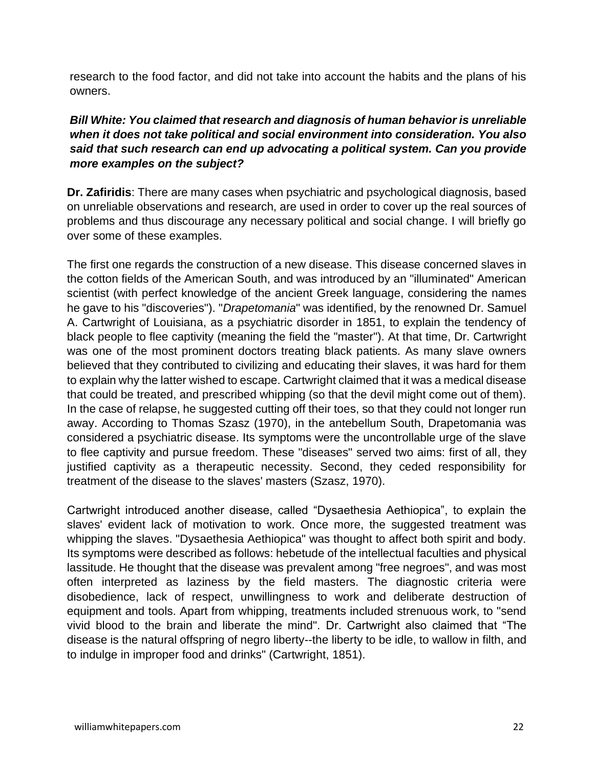research to the food factor, and did not take into account the habits and the plans of his owners.

## *Bill White: You claimed that research and diagnosis of human behavior is unreliable when it does not take political and social environment into consideration. You also said that such research can end up advocating a political system. Can you provide more examples on the subject?*

**Dr. Zafiridis**: There are many cases when psychiatric and psychological diagnosis, based on unreliable observations and research, are used in order to cover up the real sources of problems and thus discourage any necessary political and social change. I will briefly go over some of these examples.

The first one regards the construction of a new disease. This disease concerned slaves in the cotton fields of the American South, and was introduced by an "illuminated" American scientist (with perfect knowledge of the ancient Greek language, considering the names he gave to his "discoveries"). "*Drapetomania*" was identified, by the renowned Dr. Samuel A. Cartwright of Louisiana, as a psychiatric disorder in 1851, to explain the tendency of black people to flee captivity (meaning the field the "master"). At that time, Dr. Cartwright was one of the most prominent doctors treating black patients. As many slave owners believed that they contributed to civilizing and educating their slaves, it was hard for them to explain why the latter wished to escape. Cartwright claimed that it was a medical disease that could be treated, and prescribed whipping (so that the devil might come out of them). In the case of relapse, he suggested cutting off their toes, so that they could not longer run away. According to Thomas Szasz (1970), in the antebellum South, Drapetomania was considered a psychiatric disease. Its symptoms were the uncontrollable urge of the slave to flee captivity and pursue freedom. These "diseases" served two aims: first of all, they justified captivity as a therapeutic necessity. Second, they ceded responsibility for treatment of the disease to the slaves' masters (Szasz, 1970).

Cartwright introduced another disease, called "Dysaethesia Aethiopica", to explain the slaves' evident lack of motivation to work. Once more, the suggested treatment was whipping the slaves. "Dysaethesia Aethiopica" was thought to affect both spirit and body. Its symptoms were described as follows: hebetude of the intellectual faculties and physical lassitude. He thought that the disease was prevalent among "free negroes", and was most often interpreted as laziness by the field masters. The diagnostic criteria were disobedience, lack of respect, unwillingness to work and deliberate destruction of equipment and tools. Apart from whipping, treatments included strenuous work, to "send vivid blood to the brain and liberate the mind". Dr. Cartwright also claimed that "The disease is the natural offspring of negro liberty--the liberty to be idle, to wallow in filth, and to indulge in improper food and drinks" (Cartwright, 1851).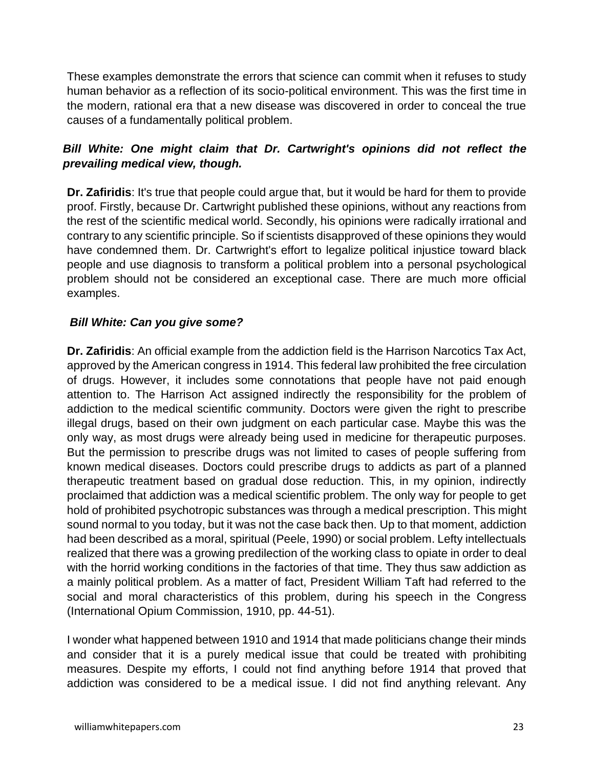These examples demonstrate the errors that science can commit when it refuses to study human behavior as a reflection of its socio-political environment. This was the first time in the modern, rational era that a new disease was discovered in order to conceal the true causes of a fundamentally political problem.

## **Bill White: One might claim that Dr. Cartwright's opinions did not reflect the** *prevailing medical view, though.*

**Dr. Zafiridis**: It's true that people could argue that, but it would be hard for them to provide proof. Firstly, because Dr. Cartwright published these opinions, without any reactions from the rest of the scientific medical world. Secondly, his opinions were radically irrational and contrary to any scientific principle. So if scientists disapproved of these opinions they would have condemned them. Dr. Cartwright's effort to legalize political injustice toward black people and use diagnosis to transform a political problem into a personal psychological problem should not be considered an exceptional case. There are much more official examples.

## *Bill White: Can you give some?*

**Dr. Zafiridis**: An official example from the addiction field is the Harrison Narcotics Tax Act, approved by the American congress in 1914. This federal law prohibited the free circulation of drugs. However, it includes some connotations that people have not paid enough attention to. The Harrison Act assigned indirectly the responsibility for the problem of addiction to the medical scientific community. Doctors were given the right to prescribe illegal drugs, based on their own judgment on each particular case. Maybe this was the only way, as most drugs were already being used in medicine for therapeutic purposes. But the permission to prescribe drugs was not limited to cases of people suffering from known medical diseases. Doctors could prescribe drugs to addicts as part of a planned therapeutic treatment based on gradual dose reduction. This, in my opinion, indirectly proclaimed that addiction was a medical scientific problem. The only way for people to get hold of prohibited psychotropic substances was through a medical prescription. This might sound normal to you today, but it was not the case back then. Up to that moment, addiction had been described as a moral, spiritual (Peele, 1990) or social problem. Lefty intellectuals realized that there was a growing predilection of the working class to opiate in order to deal with the horrid working conditions in the factories of that time. They thus saw addiction as a mainly political problem. As a matter of fact, President William Taft had referred to the social and moral characteristics of this problem, during his speech in the Congress (International Opium Commission, 1910, pp. 44-51).

I wonder what happened between 1910 and 1914 that made politicians change their minds and consider that it is a purely medical issue that could be treated with prohibiting measures. Despite my efforts, I could not find anything before 1914 that proved that addiction was considered to be a medical issue. I did not find anything relevant. Any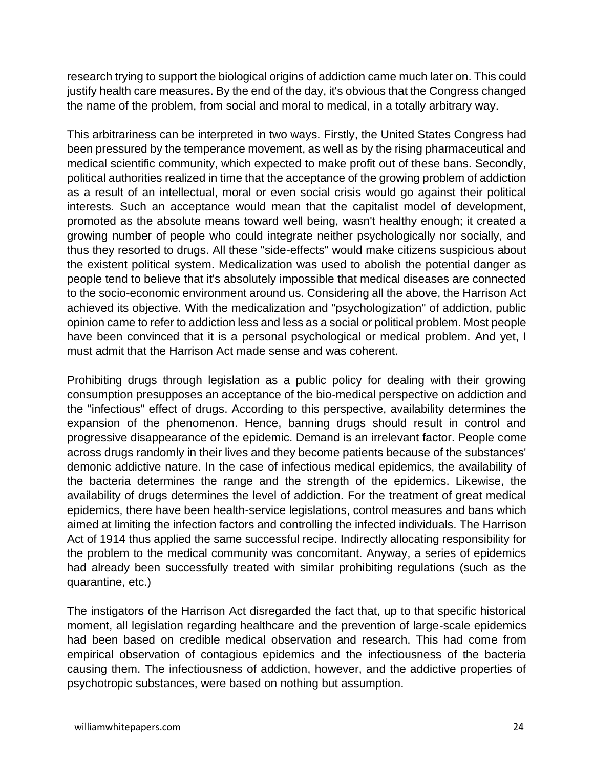research trying to support the biological origins of addiction came much later on. This could justify health care measures. By the end of the day, it's obvious that the Congress changed the name of the problem, from social and moral to medical, in a totally arbitrary way.

This arbitrariness can be interpreted in two ways. Firstly, the United States Congress had been pressured by the temperance movement, as well as by the rising pharmaceutical and medical scientific community, which expected to make profit out of these bans. Secondly, political authorities realized in time that the acceptance of the growing problem of addiction as a result of an intellectual, moral or even social crisis would go against their political interests. Such an acceptance would mean that the capitalist model of development, promoted as the absolute means toward well being, wasn't healthy enough; it created a growing number of people who could integrate neither psychologically nor socially, and thus they resorted to drugs. All these "side-effects" would make citizens suspicious about the existent political system. Medicalization was used to abolish the potential danger as people tend to believe that it's absolutely impossible that medical diseases are connected to the socio-economic environment around us. Considering all the above, the Harrison Act achieved its objective. With the medicalization and "psychologization" of addiction, public opinion came to refer to addiction less and less as a social or political problem. Most people have been convinced that it is a personal psychological or medical problem. And yet, I must admit that the Harrison Act made sense and was coherent.

Prohibiting drugs through legislation as a public policy for dealing with their growing consumption presupposes an acceptance of the bio-medical perspective on addiction and the "infectious" effect of drugs. According to this perspective, availability determines the expansion of the phenomenon. Hence, banning drugs should result in control and progressive disappearance of the epidemic. Demand is an irrelevant factor. People come across drugs randomly in their lives and they become patients because of the substances' demonic addictive nature. In the case of infectious medical epidemics, the availability of the bacteria determines the range and the strength of the epidemics. Likewise, the availability of drugs determines the level of addiction. For the treatment of great medical epidemics, there have been health-service legislations, control measures and bans which aimed at limiting the infection factors and controlling the infected individuals. The Harrison Act of 1914 thus applied the same successful recipe. Indirectly allocating responsibility for the problem to the medical community was concomitant. Anyway, a series of epidemics had already been successfully treated with similar prohibiting regulations (such as the quarantine, etc.)

The instigators of the Harrison Act disregarded the fact that, up to that specific historical moment, all legislation regarding healthcare and the prevention of large-scale epidemics had been based on credible medical observation and research. This had come from empirical observation of contagious epidemics and the infectiousness of the bacteria causing them. The infectiousness of addiction, however, and the addictive properties of psychotropic substances, were based on nothing but assumption.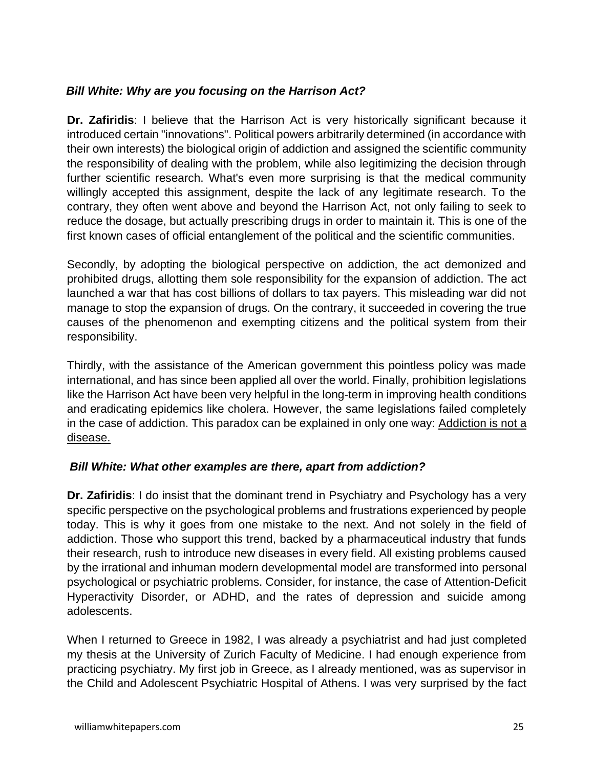## *Bill White: Why are you focusing on the Harrison Act?*

**Dr. Zafiridis**: I believe that the Harrison Act is very historically significant because it introduced certain "innovations". Political powers arbitrarily determined (in accordance with their own interests) the biological origin of addiction and assigned the scientific community the responsibility of dealing with the problem, while also legitimizing the decision through further scientific research. What's even more surprising is that the medical community willingly accepted this assignment, despite the lack of any legitimate research. To the contrary, they often went above and beyond the Harrison Act, not only failing to seek to reduce the dosage, but actually prescribing drugs in order to maintain it. This is one of the first known cases of official entanglement of the political and the scientific communities.

Secondly, by adopting the biological perspective on addiction, the act demonized and prohibited drugs, allotting them sole responsibility for the expansion of addiction. The act launched a war that has cost billions of dollars to tax payers. This misleading war did not manage to stop the expansion of drugs. On the contrary, it succeeded in covering the true causes of the phenomenon and exempting citizens and the political system from their responsibility.

Thirdly, with the assistance of the American government this pointless policy was made international, and has since been applied all over the world. Finally, prohibition legislations like the Harrison Act have been very helpful in the long-term in improving health conditions and eradicating epidemics like cholera. However, the same legislations failed completely in the case of addiction. This paradox can be explained in only one way: Addiction is not a disease.

#### *Bill White: What other examples are there, apart from addiction?*

**Dr. Zafiridis**: I do insist that the dominant trend in Psychiatry and Psychology has a very specific perspective on the psychological problems and frustrations experienced by people today. This is why it goes from one mistake to the next. And not solely in the field of addiction. Those who support this trend, backed by a pharmaceutical industry that funds their research, rush to introduce new diseases in every field. All existing problems caused by the irrational and inhuman modern developmental model are transformed into personal psychological or psychiatric problems. Consider, for instance, the case of Attention-Deficit Hyperactivity Disorder, or ADHD, and the rates of depression and suicide among adolescents.

When I returned to Greece in 1982, I was already a psychiatrist and had just completed my thesis at the University of Zurich Faculty of Medicine. I had enough experience from practicing psychiatry. My first job in Greece, as I already mentioned, was as supervisor in the Child and Adolescent Psychiatric Hospital of Athens. I was very surprised by the fact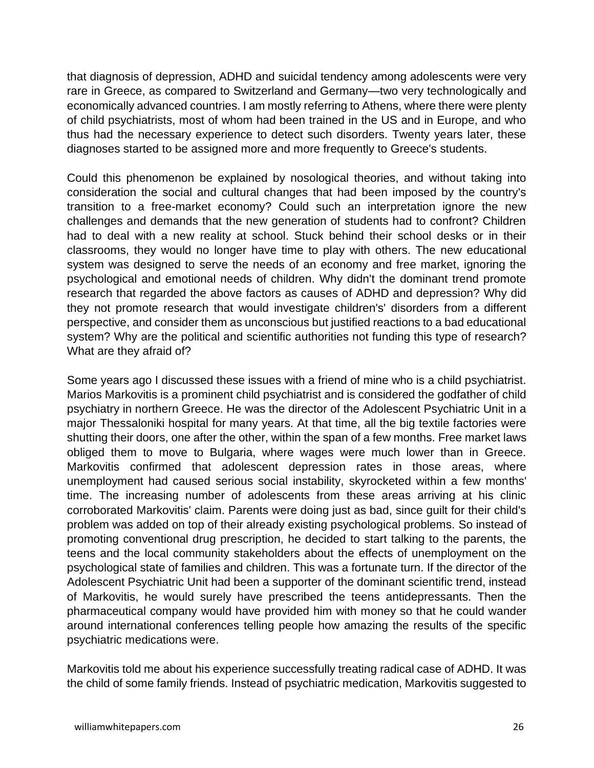that diagnosis of depression, ADHD and suicidal tendency among adolescents were very rare in Greece, as compared to Switzerland and Germany—two very technologically and economically advanced countries. I am mostly referring to Athens, where there were plenty of child psychiatrists, most of whom had been trained in the US and in Europe, and who thus had the necessary experience to detect such disorders. Twenty years later, these diagnoses started to be assigned more and more frequently to Greece's students.

Could this phenomenon be explained by nosological theories, and without taking into consideration the social and cultural changes that had been imposed by the country's transition to a free-market economy? Could such an interpretation ignore the new challenges and demands that the new generation of students had to confront? Children had to deal with a new reality at school. Stuck behind their school desks or in their classrooms, they would no longer have time to play with others. The new educational system was designed to serve the needs of an economy and free market, ignoring the psychological and emotional needs of children. Why didn't the dominant trend promote research that regarded the above factors as causes of ADHD and depression? Why did they not promote research that would investigate children's' disorders from a different perspective, and consider them as unconscious but justified reactions to a bad educational system? Why are the political and scientific authorities not funding this type of research? What are they afraid of?

Some years ago I discussed these issues with a friend of mine who is a child psychiatrist. Marios Markovitis is a prominent child psychiatrist and is considered the godfather of child psychiatry in northern Greece. He was the director of the Adolescent Psychiatric Unit in a major Thessaloniki hospital for many years. At that time, all the big textile factories were shutting their doors, one after the other, within the span of a few months. Free market laws obliged them to move to Bulgaria, where wages were much lower than in Greece. Markovitis confirmed that adolescent depression rates in those areas, where unemployment had caused serious social instability, skyrocketed within a few months' time. The increasing number of adolescents from these areas arriving at his clinic corroborated Markovitis' claim. Parents were doing just as bad, since guilt for their child's problem was added on top of their already existing psychological problems. So instead of promoting conventional drug prescription, he decided to start talking to the parents, the teens and the local community stakeholders about the effects of unemployment on the psychological state of families and children. This was a fortunate turn. If the director of the Adolescent Psychiatric Unit had been a supporter of the dominant scientific trend, instead of Markovitis, he would surely have prescribed the teens antidepressants. Then the pharmaceutical company would have provided him with money so that he could wander around international conferences telling people how amazing the results of the specific psychiatric medications were.

Markovitis told me about his experience successfully treating radical case of ADHD. It was the child of some family friends. Instead of psychiatric medication, Markovitis suggested to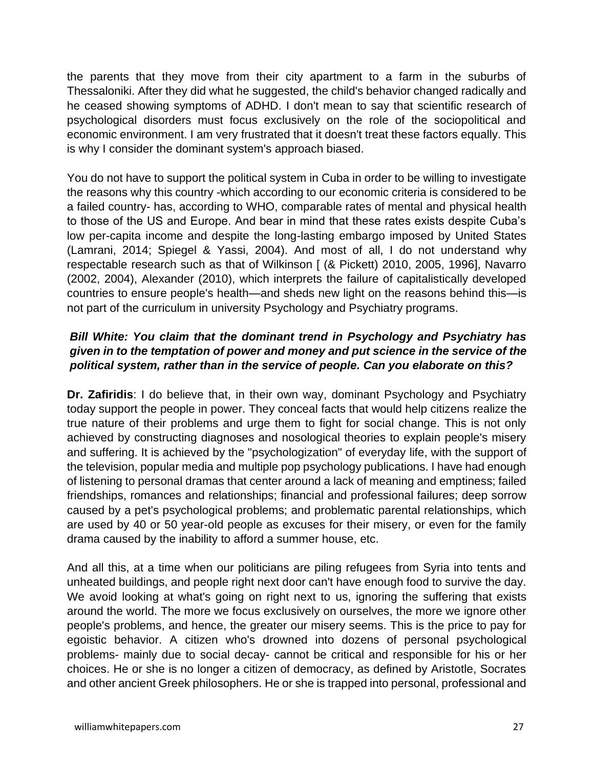the parents that they move from their city apartment to a farm in the suburbs of Thessaloniki. After they did what he suggested, the child's behavior changed radically and he ceased showing symptoms of ADHD. I don't mean to say that scientific research of psychological disorders must focus exclusively on the role of the sociopolitical and economic environment. I am very frustrated that it doesn't treat these factors equally. This is why I consider the dominant system's approach biased.

You do not have to support the political system in Cuba in order to be willing to investigate the reasons why this country -which according to our economic criteria is considered to be a failed country- has, according to WHO, comparable rates of mental and physical health to those of the US and Europe. And bear in mind that these rates exists despite Cuba's low per-capita income and despite the long-lasting embargo imposed by United States (Lamrani, 2014; Spiegel & Yassi, 2004). And most of all, I do not understand why respectable research such as that of Wilkinson [ (& Pickett) 2010, 2005, 1996], Navarro (2002, 2004), Alexander (2010), which interprets the failure of capitalistically developed countries to ensure people's health—and sheds new light on the reasons behind this—is not part of the curriculum in university Psychology and Psychiatry programs.

## *Bill White: You claim that the dominant trend in Psychology and Psychiatry has given in to the temptation of power and money and put science in the service of the political system, rather than in the service of people. Can you elaborate on this?*

**Dr. Zafiridis**: I do believe that, in their own way, dominant Psychology and Psychiatry today support the people in power. They conceal facts that would help citizens realize the true nature of their problems and urge them to fight for social change. This is not only achieved by constructing diagnoses and nosological theories to explain people's misery and suffering. It is achieved by the "psychologization" of everyday life, with the support of the television, popular media and multiple pop psychology publications. I have had enough of listening to personal dramas that center around a lack of meaning and emptiness; failed friendships, romances and relationships; financial and professional failures; deep sorrow caused by a pet's psychological problems; and problematic parental relationships, which are used by 40 or 50 year-old people as excuses for their misery, or even for the family drama caused by the inability to afford a summer house, etc.

And all this, at a time when our politicians are piling refugees from Syria into tents and unheated buildings, and people right next door can't have enough food to survive the day. We avoid looking at what's going on right next to us, ignoring the suffering that exists around the world. The more we focus exclusively on ourselves, the more we ignore other people's problems, and hence, the greater our misery seems. This is the price to pay for egoistic behavior. A citizen who's drowned into dozens of personal psychological problems- mainly due to social decay- cannot be critical and responsible for his or her choices. He or she is no longer a citizen of democracy, as defined by Aristotle, Socrates and other ancient Greek philosophers. He or she is trapped into personal, professional and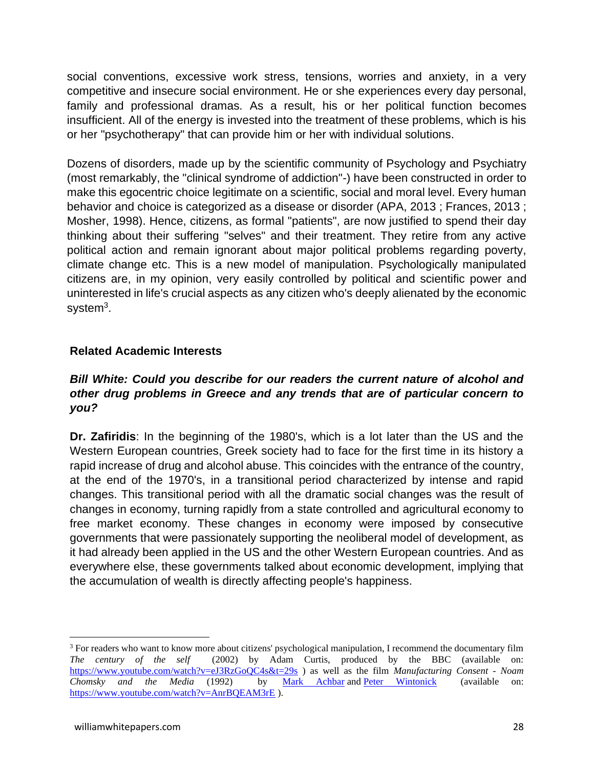social conventions, excessive work stress, tensions, worries and anxiety, in a very competitive and insecure social environment. He or she experiences every day personal, family and professional dramas. As a result, his or her political function becomes insufficient. All of the energy is invested into the treatment of these problems, which is his or her "psychotherapy" that can provide him or her with individual solutions.

Dozens of disorders, made up by the scientific community of Psychology and Psychiatry (most remarkably, the "clinical syndrome of addiction"-) have been constructed in order to make this egocentric choice legitimate on a scientific, social and moral level. Every human behavior and choice is categorized as a disease or disorder (APA, 2013 ; Frances, 2013 ; Mosher, 1998). Hence, citizens, as formal "patients", are now justified to spend their day thinking about their suffering "selves" and their treatment. They retire from any active political action and remain ignorant about major political problems regarding poverty, climate change etc. This is a new model of manipulation. Psychologically manipulated citizens are, in my opinion, very easily controlled by political and scientific power and uninterested in life's crucial aspects as any citizen who's deeply alienated by the economic system<sup>3</sup>.

#### **Related Academic Interests**

#### *Bill White: Could you describe for our readers the current nature of alcohol and other drug problems in Greece and any trends that are of particular concern to you?*

**Dr. Zafiridis**: In the beginning of the 1980's, which is a lot later than the US and the Western European countries, Greek society had to face for the first time in its history a rapid increase of drug and alcohol abuse. This coincides with the entrance of the country, at the end of the 1970's, in a transitional period characterized by intense and rapid changes. This transitional period with all the dramatic social changes was the result of changes in economy, turning rapidly from a state controlled and agricultural economy to free market economy. These changes in economy were imposed by consecutive governments that were passionately supporting the neoliberal model of development, as it had already been applied in the US and the other Western European countries. And as everywhere else, these governments talked about economic development, implying that the accumulation of wealth is directly affecting people's happiness.

<sup>&</sup>lt;sup>3</sup> For readers who want to know more about citizens' psychological manipulation, I recommend the documentary film *The century of the self* (2002) by Adam Curtis, produced by the BBC (available on: <https://www.youtube.com/watch?v=eJ3RzGoQC4s&t=29s> ) as well as the film *Manufacturing Consent - Noam Chomsky and the Media* (1992) by [Mark Achbar](https://en.wikipedia.org/wiki/Mark_Achbar) and [Peter Wintonick](https://en.wikipedia.org/wiki/Peter_Wintonick) (available on: <https://www.youtube.com/watch?v=AnrBQEAM3rE> ).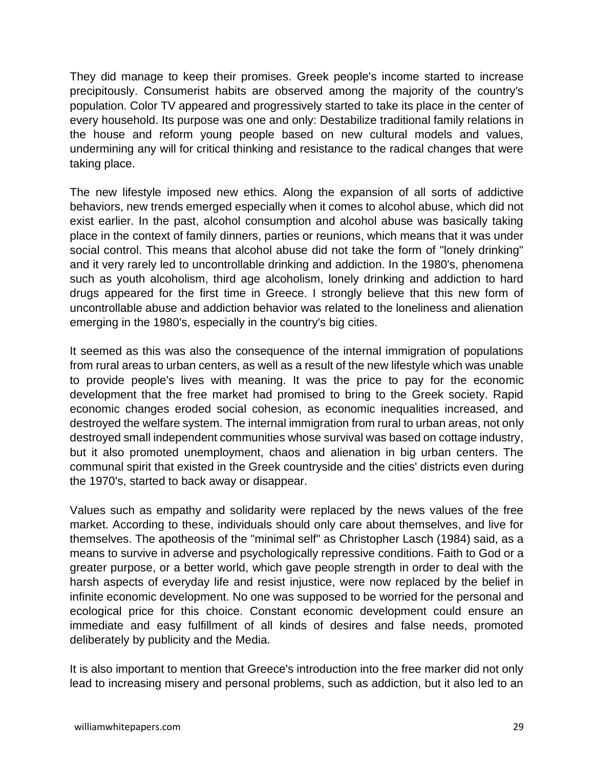They did manage to keep their promises. Greek people's income started to increase precipitously. Consumerist habits are observed among the majority of the country's population. Color TV appeared and progressively started to take its place in the center of every household. Its purpose was one and only: Destabilize traditional family relations in the house and reform young people based on new cultural models and values, undermining any will for critical thinking and resistance to the radical changes that were taking place.

The new lifestyle imposed new ethics. Along the expansion of all sorts of addictive behaviors, new trends emerged especially when it comes to alcohol abuse, which did not exist earlier. In the past, alcohol consumption and alcohol abuse was basically taking place in the context of family dinners, parties or reunions, which means that it was under social control. This means that alcohol abuse did not take the form of "lonely drinking" and it very rarely led to uncontrollable drinking and addiction. In the 1980's, phenomena such as youth alcoholism, third age alcoholism, lonely drinking and addiction to hard drugs appeared for the first time in Greece. I strongly believe that this new form of uncontrollable abuse and addiction behavior was related to the loneliness and alienation emerging in the 1980's, especially in the country's big cities.

It seemed as this was also the consequence of the internal immigration of populations from rural areas to urban centers, as well as a result of the new lifestyle which was unable to provide people's lives with meaning. It was the price to pay for the economic development that the free market had promised to bring to the Greek society. Rapid economic changes eroded social cohesion, as economic inequalities increased, and destroyed the welfare system. The internal immigration from rural to urban areas, not only destroyed small independent communities whose survival was based on cottage industry, but it also promoted unemployment, chaos and alienation in big urban centers. The communal spirit that existed in the Greek countryside and the cities' districts even during the 1970's, started to back away or disappear.

Values such as empathy and solidarity were replaced by the news values of the free market. According to these, individuals should only care about themselves, and live for themselves. The apotheosis of the "minimal self" as Christopher Lasch (1984) said, as a means to survive in adverse and psychologically repressive conditions. Faith to God or a greater purpose, or a better world, which gave people strength in order to deal with the harsh aspects of everyday life and resist injustice, were now replaced by the belief in infinite economic development. No one was supposed to be worried for the personal and ecological price for this choice. Constant economic development could ensure an immediate and easy fulfillment of all kinds of desires and false needs, promoted deliberately by publicity and the Media.

It is also important to mention that Greece's introduction into the free marker did not only lead to increasing misery and personal problems, such as addiction, but it also led to an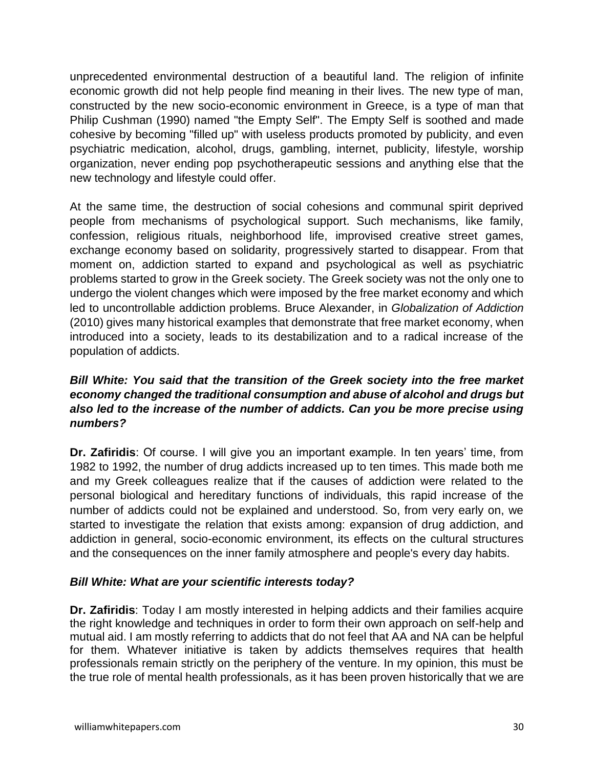unprecedented environmental destruction of a beautiful land. The religion of infinite economic growth did not help people find meaning in their lives. The new type of man, constructed by the new socio-economic environment in Greece, is a type of man that Philip Cushman (1990) named "the Empty Self". The Empty Self is soothed and made cohesive by becoming "filled up" with useless products promoted by publicity, and even psychiatric medication, alcohol, drugs, gambling, internet, publicity, lifestyle, worship organization, never ending pop psychotherapeutic sessions and anything else that the new technology and lifestyle could offer.

At the same time, the destruction of social cohesions and communal spirit deprived people from mechanisms of psychological support. Such mechanisms, like family, confession, religious rituals, neighborhood life, improvised creative street games, exchange economy based on solidarity, progressively started to disappear. From that moment on, addiction started to expand and psychological as well as psychiatric problems started to grow in the Greek society. The Greek society was not the only one to undergo the violent changes which were imposed by the free market economy and which led to uncontrollable addiction problems. Bruce Alexander, in *Globalization of Addiction* (2010) gives many historical examples that demonstrate that free market economy, when introduced into a society, leads to its destabilization and to a radical increase of the population of addicts.

## *Bill White: You said that the transition of the Greek society into the free market economy changed the traditional consumption and abuse of alcohol and drugs but also led to the increase of the number of addicts. Can you be more precise using numbers?*

**Dr. Zafiridis**: Of course. I will give you an important example. In ten years' time, from 1982 to 1992, the number of drug addicts increased up to ten times. This made both me and my Greek colleagues realize that if the causes of addiction were related to the personal biological and hereditary functions of individuals, this rapid increase of the number of addicts could not be explained and understood. So, from very early on, we started to investigate the relation that exists among: expansion of drug addiction, and addiction in general, socio-economic environment, its effects on the cultural structures and the consequences on the inner family atmosphere and people's every day habits.

## *Bill White: What are your scientific interests today?*

**Dr. Zafiridis**: Today I am mostly interested in helping addicts and their families acquire the right knowledge and techniques in order to form their own approach on self-help and mutual aid. I am mostly referring to addicts that do not feel that AA and NA can be helpful for them. Whatever initiative is taken by addicts themselves requires that health professionals remain strictly on the periphery of the venture. In my opinion, this must be the true role of mental health professionals, as it has been proven historically that we are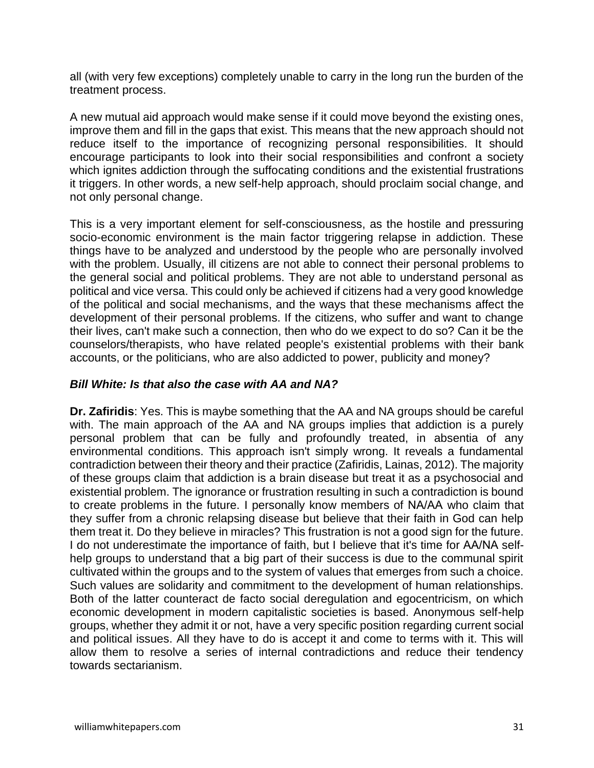all (with very few exceptions) completely unable to carry in the long run the burden of the treatment process.

A new mutual aid approach would make sense if it could move beyond the existing ones, improve them and fill in the gaps that exist. This means that the new approach should not reduce itself to the importance of recognizing personal responsibilities. It should encourage participants to look into their social responsibilities and confront a society which ignites addiction through the suffocating conditions and the existential frustrations it triggers. In other words, a new self-help approach, should proclaim social change, and not only personal change.

This is a very important element for self-consciousness, as the hostile and pressuring socio-economic environment is the main factor triggering relapse in addiction. These things have to be analyzed and understood by the people who are personally involved with the problem. Usually, ill citizens are not able to connect their personal problems to the general social and political problems. They are not able to understand personal as political and vice versa. This could only be achieved if citizens had a very good knowledge of the political and social mechanisms, and the ways that these mechanisms affect the development of their personal problems. If the citizens, who suffer and want to change their lives, can't make such a connection, then who do we expect to do so? Can it be the counselors/therapists, who have related people's existential problems with their bank accounts, or the politicians, who are also addicted to power, publicity and money?

#### *Bill White: Is that also the case with AA and NA?*

**Dr. Zafiridis**: Yes. This is maybe something that the AA and NA groups should be careful with. The main approach of the AA and NA groups implies that addiction is a purely personal problem that can be fully and profoundly treated, in absentia of any environmental conditions. This approach isn't simply wrong. It reveals a fundamental contradiction between their theory and their practice (Zafiridis, Lainas, 2012). The majority of these groups claim that addiction is a brain disease but treat it as a psychosocial and existential problem. The ignorance or frustration resulting in such a contradiction is bound to create problems in the future. I personally know members of ΝΑ/ΑΑ who claim that they suffer from a chronic relapsing disease but believe that their faith in God can help them treat it. Do they believe in miracles? This frustration is not a good sign for the future. I do not underestimate the importance of faith, but I believe that it's time for ΑΑ/ΝΑ selfhelp groups to understand that a big part of their success is due to the communal spirit cultivated within the groups and to the system of values that emerges from such a choice. Such values are solidarity and commitment to the development of human relationships. Both of the latter counteract de facto social deregulation and egocentricism, on which economic development in modern capitalistic societies is based. Anonymous self-help groups, whether they admit it or not, have a very specific position regarding current social and political issues. All they have to do is accept it and come to terms with it. This will allow them to resolve a series of internal contradictions and reduce their tendency towards sectarianism.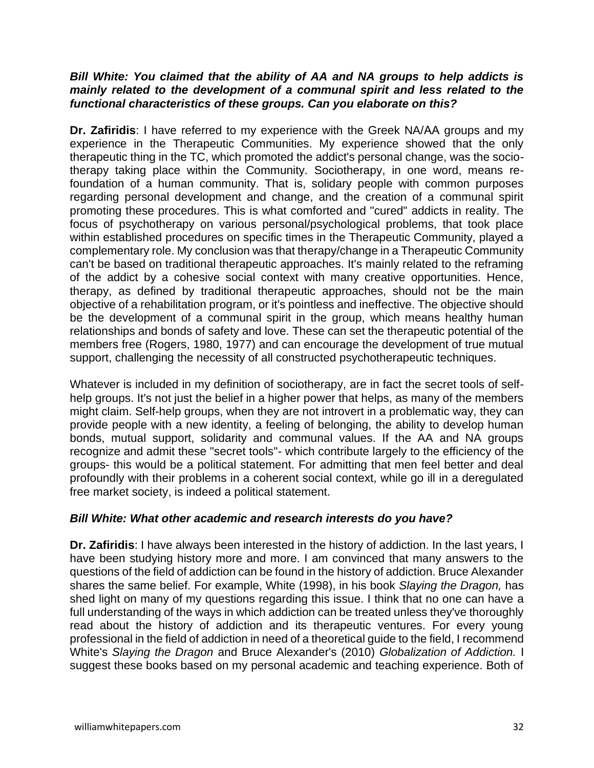#### *Bill White: You claimed that the ability of AA and NA groups to help addicts is mainly related to the development of a communal spirit and less related to the functional characteristics of these groups. Can you elaborate on this?*

**Dr. Zafiridis**: I have referred to my experience with the Greek NA/ΑΑ groups and my experience in the Therapeutic Communities. My experience showed that the only therapeutic thing in the TC, which promoted the addict's personal change, was the sociotherapy taking place within the Community. Sociotherapy, in one word, means refoundation of a human community. That is, solidary people with common purposes regarding personal development and change, and the creation of a communal spirit promoting these procedures. This is what comforted and "cured" addicts in reality. The focus of psychotherapy on various personal/psychological problems, that took place within established procedures on specific times in the Therapeutic Community, played a complementary role. My conclusion was that therapy/change in a Therapeutic Community can't be based on traditional therapeutic approaches. It's mainly related to the reframing of the addict by a cohesive social context with many creative opportunities. Hence, therapy, as defined by traditional therapeutic approaches, should not be the main objective of a rehabilitation program, or it's pointless and ineffective. The objective should be the development of a communal spirit in the group, which means healthy human relationships and bonds of safety and love. These can set the therapeutic potential of the members free (Rogers, 1980, 1977) and can encourage the development of true mutual support, challenging the necessity of all constructed psychotherapeutic techniques.

Whatever is included in my definition of sociotherapy, are in fact the secret tools of selfhelp groups. It's not just the belief in a higher power that helps, as many of the members might claim. Self-help groups, when they are not introvert in a problematic way, they can provide people with a new identity, a feeling of belonging, the ability to develop human bonds, mutual support, solidarity and communal values. If the AA and NA groups recognize and admit these "secret tools"- which contribute largely to the efficiency of the groups- this would be a political statement. For admitting that men feel better and deal profoundly with their problems in a coherent social context, while go ill in a deregulated free market society, is indeed a political statement.

#### *Bill White: What other academic and research interests do you have?*

**Dr. Zafiridis**: I have always been interested in the history of addiction. In the last years, I have been studying history more and more. I am convinced that many answers to the questions of the field of addiction can be found in the history of addiction. Bruce Alexander shares the same belief. For example, White (1998), in his book *Slaying the Dragon,* has shed light on many of my questions regarding this issue. I think that no one can have a full understanding of the ways in which addiction can be treated unless they've thoroughly read about the history of addiction and its therapeutic ventures. For every young professional in the field of addiction in need of a theoretical guide to the field, I recommend White's *Slaying the Dragon* and Bruce Alexander's (2010) *Globalization of Addiction.* I suggest these books based on my personal academic and teaching experience. Both of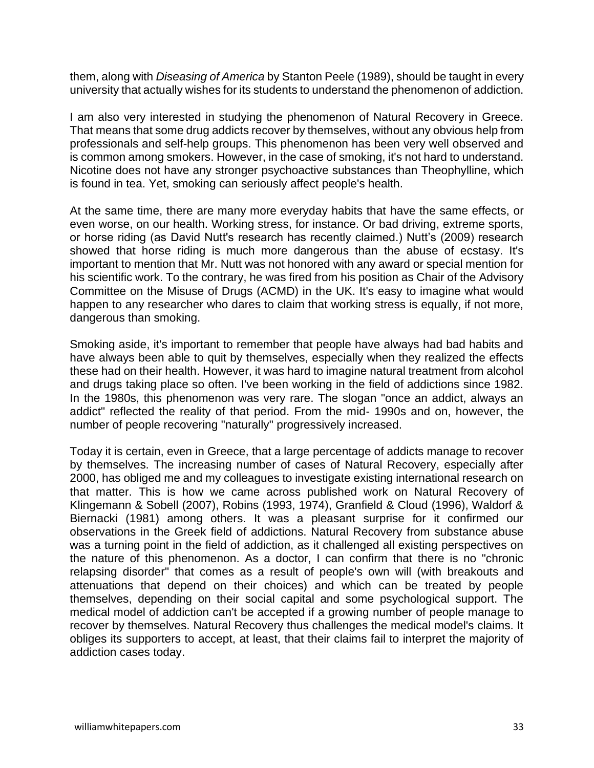them, along with *Diseasing of America* by Stanton Peele (1989), should be taught in every university that actually wishes for its students to understand the phenomenon of addiction.

I am also very interested in studying the phenomenon of Natural Recovery in Greece. That means that some drug addicts recover by themselves, without any obvious help from professionals and self-help groups. This phenomenon has been very well observed and is common among smokers. However, in the case of smoking, it's not hard to understand. Nicotine does not have any stronger psychoactive substances than Theophylline, which is found in tea. Yet, smoking can seriously affect people's health.

At the same time, there are many more everyday habits that have the same effects, or even worse, on our health. Working stress, for instance. Or bad driving, extreme sports, or horse riding (as David Nutt's research has recently claimed.) Nutt's (2009) research showed that horse riding is much more dangerous than the abuse of ecstasy. It's important to mention that Mr. Nutt was not honored with any award or special mention for his scientific work. To the contrary, he was fired from his position as Chair of the Advisory Committee on the Misuse of Drugs (ACMD) in the UK. It's easy to imagine what would happen to any researcher who dares to claim that working stress is equally, if not more, dangerous than smoking.

Smoking aside, it's important to remember that people have always had bad habits and have always been able to quit by themselves, especially when they realized the effects these had on their health. However, it was hard to imagine natural treatment from alcohol and drugs taking place so often. I've been working in the field of addictions since 1982. In the 1980s, this phenomenon was very rare. The slogan "once an addict, always an addict" reflected the reality of that period. From the mid- 1990s and on, however, the number of people recovering "naturally" progressively increased.

Today it is certain, even in Greece, that a large percentage of addicts manage to recover by themselves. The increasing number of cases of Natural Recovery, especially after 2000, has obliged me and my colleagues to investigate existing international research on that matter. This is how we came across published work on Natural Recovery of Klingemann & Sobell (2007), Robins (1993, 1974), Granfield & Cloud (1996), Waldorf & Biernacki (1981) among others. It was a pleasant surprise for it confirmed our observations in the Greek field of addictions. Natural Recovery from substance abuse was a turning point in the field of addiction, as it challenged all existing perspectives on the nature of this phenomenon. As a doctor, I can confirm that there is no "chronic relapsing disorder" that comes as a result of people's own will (with breakouts and attenuations that depend on their choices) and which can be treated by people themselves, depending on their social capital and some psychological support. The medical model of addiction can't be accepted if a growing number of people manage to recover by themselves. Natural Recovery thus challenges the medical model's claims. It obliges its supporters to accept, at least, that their claims fail to interpret the majority of addiction cases today.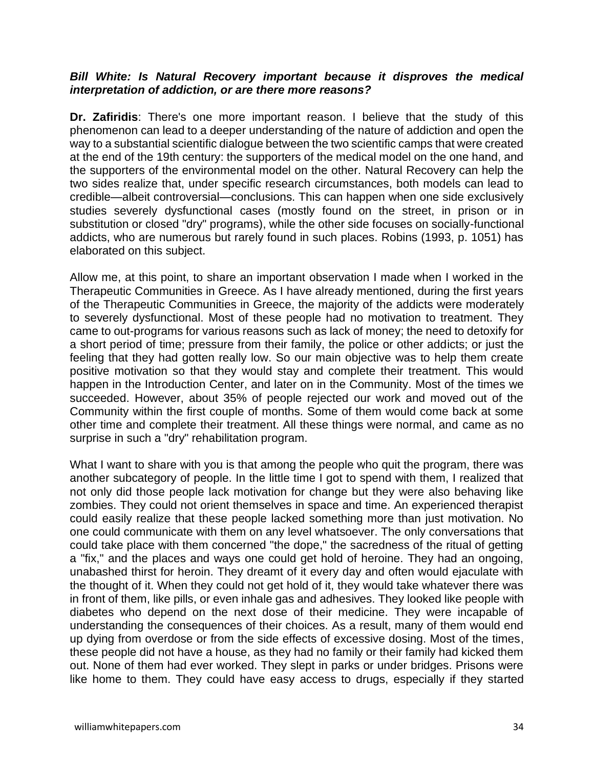#### *Bill White: Is Natural Recovery important because it disproves the medical interpretation of addiction, or are there more reasons?*

**Dr. Zafiridis**: There's one more important reason. I believe that the study of this phenomenon can lead to a deeper understanding of the nature of addiction and open the way to a substantial scientific dialogue between the two scientific camps that were created at the end of the 19th century: the supporters of the medical model on the one hand, and the supporters of the environmental model on the other. Natural Recovery can help the two sides realize that, under specific research circumstances, both models can lead to credible—albeit controversial—conclusions. This can happen when one side exclusively studies severely dysfunctional cases (mostly found on the street, in prison or in substitution or closed "dry" programs), while the other side focuses on socially-functional addicts, who are numerous but rarely found in such places. Robins (1993, p. 1051) has elaborated on this subject.

Allow me, at this point, to share an important observation I made when I worked in the Therapeutic Communities in Greece. As I have already mentioned, during the first years of the Therapeutic Communities in Greece, the majority of the addicts were moderately to severely dysfunctional. Most of these people had no motivation to treatment. They came to out-programs for various reasons such as lack of money; the need to detoxify for a short period of time; pressure from their family, the police or other addicts; or just the feeling that they had gotten really low. So our main objective was to help them create positive motivation so that they would stay and complete their treatment. This would happen in the Introduction Center, and later on in the Community. Most of the times we succeeded. However, about 35% of people rejected our work and moved out of the Community within the first couple of months. Some of them would come back at some other time and complete their treatment. All these things were normal, and came as no surprise in such a "dry" rehabilitation program.

What I want to share with you is that among the people who quit the program, there was another subcategory of people. In the little time I got to spend with them, I realized that not only did those people lack motivation for change but they were also behaving like zombies. They could not orient themselves in space and time. An experienced therapist could easily realize that these people lacked something more than just motivation. No one could communicate with them on any level whatsoever. The only conversations that could take place with them concerned "the dope," the sacredness of the ritual of getting a "fix," and the places and ways one could get hold of heroine. They had an ongoing, unabashed thirst for heroin. They dreamt of it every day and often would ejaculate with the thought of it. When they could not get hold of it, they would take whatever there was in front of them, like pills, or even inhale gas and adhesives. They looked like people with diabetes who depend on the next dose of their medicine. They were incapable of understanding the consequences of their choices. As a result, many of them would end up dying from overdose or from the side effects of excessive dosing. Most of the times, these people did not have a house, as they had no family or their family had kicked them out. None of them had ever worked. They slept in parks or under bridges. Prisons were like home to them. They could have easy access to drugs, especially if they started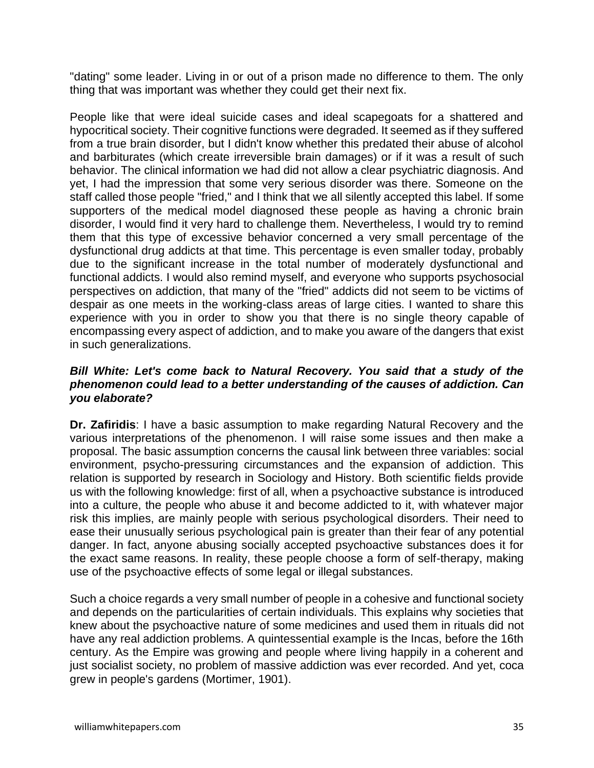"dating" some leader. Living in or out of a prison made no difference to them. The only thing that was important was whether they could get their next fix.

People like that were ideal suicide cases and ideal scapegoats for a shattered and hypocritical society. Their cognitive functions were degraded. It seemed as if they suffered from a true brain disorder, but I didn't know whether this predated their abuse of alcohol and barbiturates (which create irreversible brain damages) or if it was a result of such behavior. The clinical information we had did not allow a clear psychiatric diagnosis. And yet, I had the impression that some very serious disorder was there. Someone on the staff called those people "fried," and I think that we all silently accepted this label. If some supporters of the medical model diagnosed these people as having a chronic brain disorder, I would find it very hard to challenge them. Nevertheless, I would try to remind them that this type of excessive behavior concerned a very small percentage of the dysfunctional drug addicts at that time. This percentage is even smaller today, probably due to the significant increase in the total number of moderately dysfunctional and functional addicts. I would also remind myself, and everyone who supports psychosocial perspectives on addiction, that many of the "fried" addicts did not seem to be victims of despair as one meets in the working-class areas of large cities. I wanted to share this experience with you in order to show you that there is no single theory capable of encompassing every aspect of addiction, and to make you aware of the dangers that exist in such generalizations.

#### *Bill White: Let's come back to Natural Recovery. You said that a study of the phenomenon could lead to a better understanding of the causes of addiction. Can you elaborate?*

**Dr. Zafiridis**: I have a basic assumption to make regarding Natural Recovery and the various interpretations of the phenomenon. I will raise some issues and then make a proposal. The basic assumption concerns the causal link between three variables: social environment, psycho-pressuring circumstances and the expansion of addiction. This relation is supported by research in Sociology and History. Both scientific fields provide us with the following knowledge: first of all, when a psychoactive substance is introduced into a culture, the people who abuse it and become addicted to it, with whatever major risk this implies, are mainly people with serious psychological disorders. Their need to ease their unusually serious psychological pain is greater than their fear of any potential danger. In fact, anyone abusing socially accepted psychoactive substances does it for the exact same reasons. In reality, these people choose a form of self-therapy, making use of the psychoactive effects of some legal or illegal substances.

Such a choice regards a very small number of people in a cohesive and functional society and depends on the particularities of certain individuals. This explains why societies that knew about the psychoactive nature of some medicines and used them in rituals did not have any real addiction problems. A quintessential example is the Incas, before the 16th century. As the Empire was growing and people where living happily in a coherent and just socialist society, no problem of massive addiction was ever recorded. And yet, coca grew in people's gardens (Mortimer, 1901).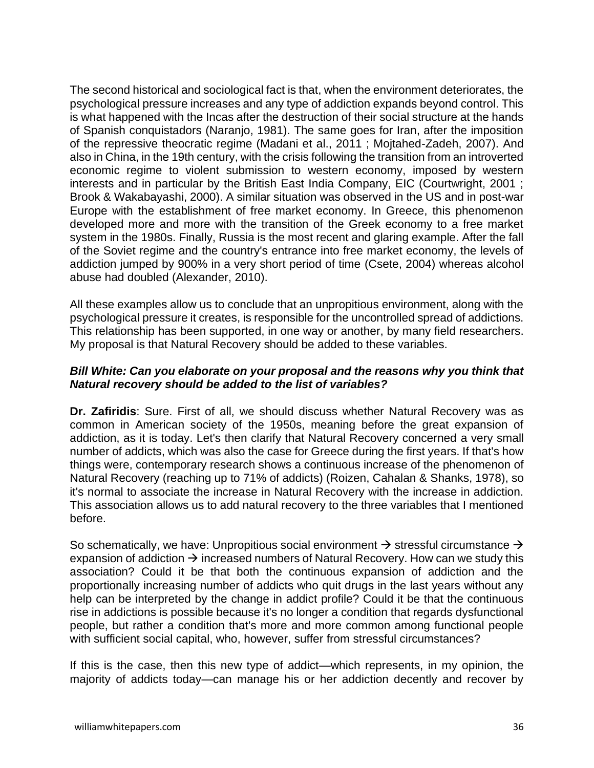The second historical and sociological fact is that, when the environment deteriorates, the psychological pressure increases and any type of addiction expands beyond control. This is what happened with the Incas after the destruction of their social structure at the hands of Spanish conquistadors (Naranjo, 1981). The same goes for Iran, after the imposition of the repressive theocratic regime (Madani et al., 2011 ; Mojtahed-Zadeh, 2007). And also in China, in the 19th century, with the crisis following the transition from an introverted economic regime to violent submission to western economy, imposed by western interests and in particular by the British East India Company, EIC (Courtwright, 2001 ; Brook & Wakabayashi, 2000). A similar situation was observed in the US and in post-war Europe with the establishment of free market economy. In Greece, this phenomenon developed more and more with the transition of the Greek economy to a free market system in the 1980s. Finally, Russia is the most recent and glaring example. After the fall of the Soviet regime and the country's entrance into free market economy, the levels of addiction jumped by 900% in a very short period of time (Csete, 2004) whereas alcohol abuse had doubled (Alexander, 2010).

All these examples allow us to conclude that an unpropitious environment, along with the psychological pressure it creates, is responsible for the uncontrolled spread of addictions. This relationship has been supported, in one way or another, by many field researchers. My proposal is that Natural Recovery should be added to these variables.

#### *Bill White: Can you elaborate on your proposal and the reasons why you think that Natural recovery should be added to the list of variables?*

**Dr. Zafiridis**: Sure. First of all, we should discuss whether Natural Recovery was as common in American society of the 1950s, meaning before the great expansion of addiction, as it is today. Let's then clarify that Natural Recovery concerned a very small number of addicts, which was also the case for Greece during the first years. If that's how things were, contemporary research shows a continuous increase of the phenomenon of Natural Recovery (reaching up to 71% of addicts) (Roizen, Cahalan & Shanks, 1978), so it's normal to associate the increase in Natural Recovery with the increase in addiction. This association allows us to add natural recovery to the three variables that I mentioned before.

So schematically, we have: Unpropitious social environment  $\rightarrow$  stressful circumstance  $\rightarrow$ expansion of addiction  $\rightarrow$  increased numbers of Natural Recovery. How can we study this association? Could it be that both the continuous expansion of addiction and the proportionally increasing number of addicts who quit drugs in the last years without any help can be interpreted by the change in addict profile? Could it be that the continuous rise in addictions is possible because it's no longer a condition that regards dysfunctional people, but rather a condition that's more and more common among functional people with sufficient social capital, who, however, suffer from stressful circumstances?

If this is the case, then this new type of addict—which represents, in my opinion, the majority of addicts today—can manage his or her addiction decently and recover by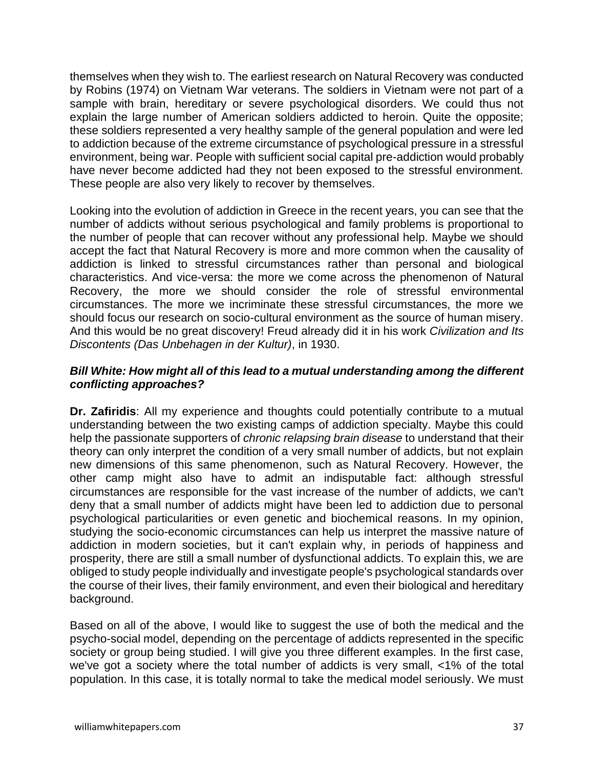themselves when they wish to. The earliest research on Natural Recovery was conducted by Robins (1974) on Vietnam War veterans. The soldiers in Vietnam were not part of a sample with brain, hereditary or severe psychological disorders. We could thus not explain the large number of American soldiers addicted to heroin. Quite the opposite; these soldiers represented a very healthy sample of the general population and were led to addiction because of the extreme circumstance of psychological pressure in a stressful environment, being war. People with sufficient social capital pre-addiction would probably have never become addicted had they not been exposed to the stressful environment. These people are also very likely to recover by themselves.

Looking into the evolution of addiction in Greece in the recent years, you can see that the number of addicts without serious psychological and family problems is proportional to the number of people that can recover without any professional help. Maybe we should accept the fact that Natural Recovery is more and more common when the causality of addiction is linked to stressful circumstances rather than personal and biological characteristics. And vice-versa: the more we come across the phenomenon of Natural Recovery, the more we should consider the role of stressful environmental circumstances. The more we incriminate these stressful circumstances, the more we should focus our research on socio-cultural environment as the source of human misery. And this would be no great discovery! Freud already did it in his work *Civilization and Its Discontents (Das Unbehagen in der Kultur)*, in 1930.

#### *Bill White: How might all of this lead to a mutual understanding among the different conflicting approaches?*

**Dr. Zafiridis**: All my experience and thoughts could potentially contribute to a mutual understanding between the two existing camps of addiction specialty. Maybe this could help the passionate supporters of *chronic relapsing brain disease* to understand that their theory can only interpret the condition of a very small number of addicts, but not explain new dimensions of this same phenomenon, such as Natural Recovery. However, the other camp might also have to admit an indisputable fact: although stressful circumstances are responsible for the vast increase of the number of addicts, we can't deny that a small number of addicts might have been led to addiction due to personal psychological particularities or even genetic and biochemical reasons. In my opinion, studying the socio-economic circumstances can help us interpret the massive nature of addiction in modern societies, but it can't explain why, in periods of happiness and prosperity, there are still a small number of dysfunctional addicts. To explain this, we are obliged to study people individually and investigate people's psychological standards over the course of their lives, their family environment, and even their biological and hereditary background.

Based on all of the above, I would like to suggest the use of both the medical and the psycho-social model, depending on the percentage of addicts represented in the specific society or group being studied. I will give you three different examples. In the first case, we've got a society where the total number of addicts is very small, <1% of the total population. In this case, it is totally normal to take the medical model seriously. We must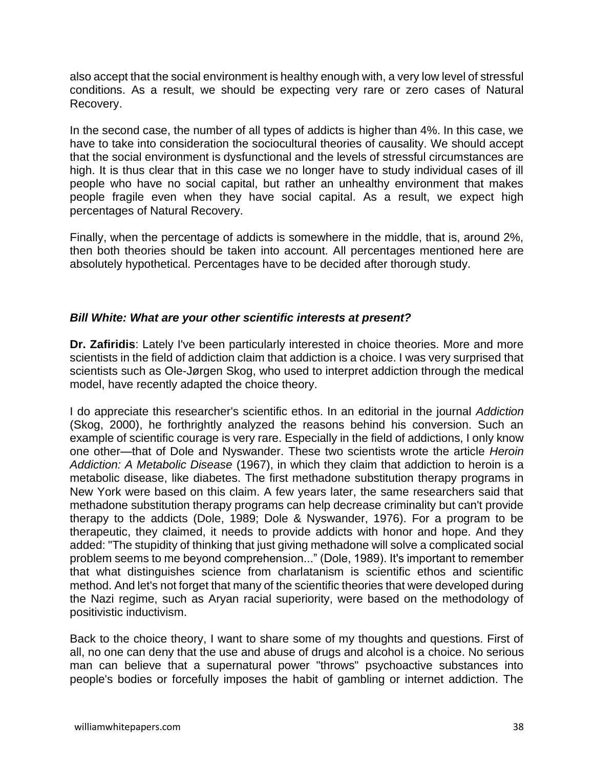also accept that the social environment is healthy enough with, a very low level of stressful conditions. As a result, we should be expecting very rare or zero cases of Natural Recovery.

In the second case, the number of all types of addicts is higher than 4%. In this case, we have to take into consideration the sociocultural theories of causality. We should accept that the social environment is dysfunctional and the levels of stressful circumstances are high. It is thus clear that in this case we no longer have to study individual cases of ill people who have no social capital, but rather an unhealthy environment that makes people fragile even when they have social capital. As a result, we expect high percentages of Natural Recovery.

Finally, when the percentage of addicts is somewhere in the middle, that is, around 2%, then both theories should be taken into account. All percentages mentioned here are absolutely hypothetical. Percentages have to be decided after thorough study.

#### *Bill White: What are your other scientific interests at present?*

**Dr. Zafiridis**: Lately I've been particularly interested in choice theories. More and more scientists in the field of addiction claim that addiction is a choice. I was very surprised that scientists such as Ole-Jørgen Skog, who used to interpret addiction through the medical model, have recently adapted the choice theory.

I do appreciate this researcher's scientific ethos. In an editorial in the journal *Addiction*  (Skog, 2000), he forthrightly analyzed the reasons behind his conversion. Such an example of scientific courage is very rare. Especially in the field of addictions, I only know one other—that of Dole and Nyswander. These two scientists wrote the article *Heroin Addiction: A Metabolic Disease* (1967), in which they claim that addiction to heroin is a metabolic disease, like diabetes. The first methadone substitution therapy programs in New York were based on this claim. A few years later, the same researchers said that methadone substitution therapy programs can help decrease criminality but can't provide therapy to the addicts (Dole, 1989; Dole & Nyswander, 1976). For a program to be therapeutic, they claimed, it needs to provide addicts with honor and hope. And they added: "The stupidity of thinking that just giving methadone will solve a complicated social problem seems to me beyond comprehension..." (Dole, 1989). It's important to remember that what distinguishes science from charlatanism is scientific ethos and scientific method. And let's not forget that many of the scientific theories that were developed during the Nazi regime, such as Aryan racial superiority, were based on the methodology of positivistic inductivism.

Back to the choice theory, I want to share some of my thoughts and questions. First of all, no one can deny that the use and abuse of drugs and alcohol is a choice. No serious man can believe that a supernatural power "throws" psychoactive substances into people's bodies or forcefully imposes the habit of gambling or internet addiction. The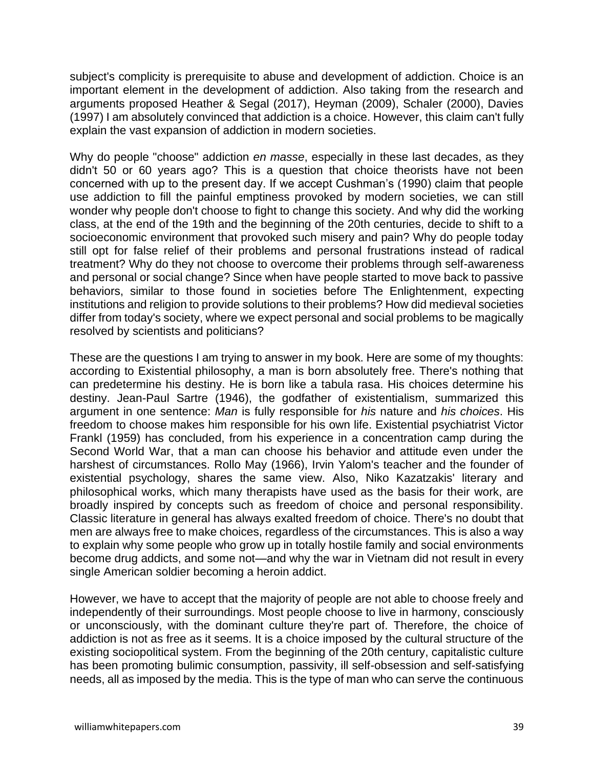subject's complicity is prerequisite to abuse and development of addiction. Choice is an important element in the development of addiction. Also taking from the research and arguments proposed Heather & Segal (2017), Heyman (2009), Schaler (2000), Davies (1997) I am absolutely convinced that addiction is a choice. However, this claim can't fully explain the vast expansion of addiction in modern societies.

Why do people "choose" addiction *en masse*, especially in these last decades, as they didn't 50 or 60 years ago? This is a question that choice theorists have not been concerned with up to the present day. If we accept Cushman's (1990) claim that people use addiction to fill the painful emptiness provoked by modern societies, we can still wonder why people don't choose to fight to change this society. And why did the working class, at the end of the 19th and the beginning of the 20th centuries, decide to shift to a socioeconomic environment that provoked such misery and pain? Why do people today still opt for false relief of their problems and personal frustrations instead of radical treatment? Why do they not choose to overcome their problems through self-awareness and personal or social change? Since when have people started to move back to passive behaviors, similar to those found in societies before The Enlightenment, expecting institutions and religion to provide solutions to their problems? How did medieval societies differ from today's society, where we expect personal and social problems to be magically resolved by scientists and politicians?

These are the questions I am trying to answer in my book. Here are some of my thoughts: according to Existential philosophy, a man is born absolutely free. There's nothing that can predetermine his destiny. He is born like a tabula rasa. His choices determine his destiny. Jean-Paul Sartre (1946), the godfather of existentialism, summarized this argument in one sentence: *Man* is fully responsible for *his* nature and *his choices*. His freedom to choose makes him responsible for his own life. Existential psychiatrist Victor Frankl (1959) has concluded, from his experience in a concentration camp during the Second World War, that a man can choose his behavior and attitude even under the harshest of circumstances. Rollo May (1966), Irvin Yalom's teacher and the founder of existential psychology, shares the same view. Also, Niko Kazatzakis' literary and philosophical works, which many therapists have used as the basis for their work, are broadly inspired by concepts such as freedom of choice and personal responsibility. Classic literature in general has always exalted freedom of choice. There's no doubt that men are always free to make choices, regardless of the circumstances. This is also a way to explain why some people who grow up in totally hostile family and social environments become drug addicts, and some not—and why the war in Vietnam did not result in every single American soldier becoming a heroin addict.

However, we have to accept that the majority of people are not able to choose freely and independently of their surroundings. Most people choose to live in harmony, consciously or unconsciously, with the dominant culture they're part of. Therefore, the choice of addiction is not as free as it seems. It is a choice imposed by the cultural structure of the existing sociopolitical system. From the beginning of the 20th century, capitalistic culture has been promoting bulimic consumption, passivity, ill self-obsession and self-satisfying needs, all as imposed by the media. This is the type of man who can serve the continuous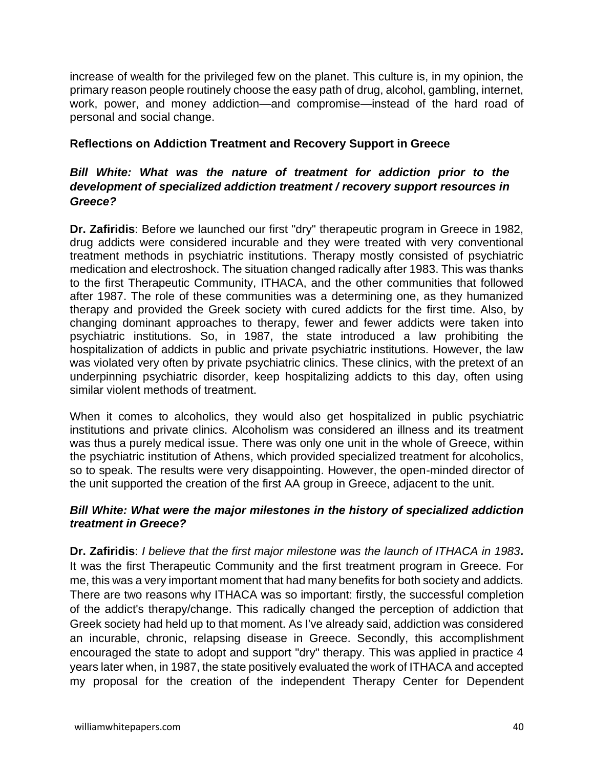increase of wealth for the privileged few on the planet. This culture is, in my opinion, the primary reason people routinely choose the easy path of drug, alcohol, gambling, internet, work, power, and money addiction—and compromise—instead of the hard road of personal and social change.

#### **Reflections on Addiction Treatment and Recovery Support in Greece**

#### *Bill White: What was the nature of treatment for addiction prior to the development of specialized addiction treatment / recovery support resources in Greece?*

**Dr. Zafiridis**: Before we launched our first "dry" therapeutic program in Greece in 1982, drug addicts were considered incurable and they were treated with very conventional treatment methods in psychiatric institutions. Therapy mostly consisted of psychiatric medication and electroshock. The situation changed radically after 1983. This was thanks to the first Therapeutic Community, ITHACA, and the other communities that followed after 1987. The role of these communities was a determining one, as they humanized therapy and provided the Greek society with cured addicts for the first time. Also, by changing dominant approaches to therapy, fewer and fewer addicts were taken into psychiatric institutions. So, in 1987, the state introduced a law prohibiting the hospitalization of addicts in public and private psychiatric institutions. However, the law was violated very often by private psychiatric clinics. These clinics, with the pretext of an underpinning psychiatric disorder, keep hospitalizing addicts to this day, often using similar violent methods of treatment.

When it comes to alcoholics, they would also get hospitalized in public psychiatric institutions and private clinics. Alcoholism was considered an illness and its treatment was thus a purely medical issue. There was only one unit in the whole of Greece, within the psychiatric institution of Athens, which provided specialized treatment for alcoholics, so to speak. The results were very disappointing. However, the open-minded director of the unit supported the creation of the first AA group in Greece, adjacent to the unit.

#### *Bill White: What were the major milestones in the history of specialized addiction treatment in Greece?*

**Dr. Zafiridis**: *I believe that the first major milestone was the launch of ITHACA in 1983.*  It was the first Therapeutic Community and the first treatment program in Greece. For me, this was a very important moment that had many benefits for both society and addicts. There are two reasons why ITHACA was so important: firstly, the successful completion of the addict's therapy/change. This radically changed the perception of addiction that Greek society had held up to that moment. As I've already said, addiction was considered an incurable, chronic, relapsing disease in Greece. Secondly, this accomplishment encouraged the state to adopt and support "dry" therapy. This was applied in practice 4 years later when, in 1987, the state positively evaluated the work of ITHACA and accepted my proposal for the creation of the independent Therapy Center for Dependent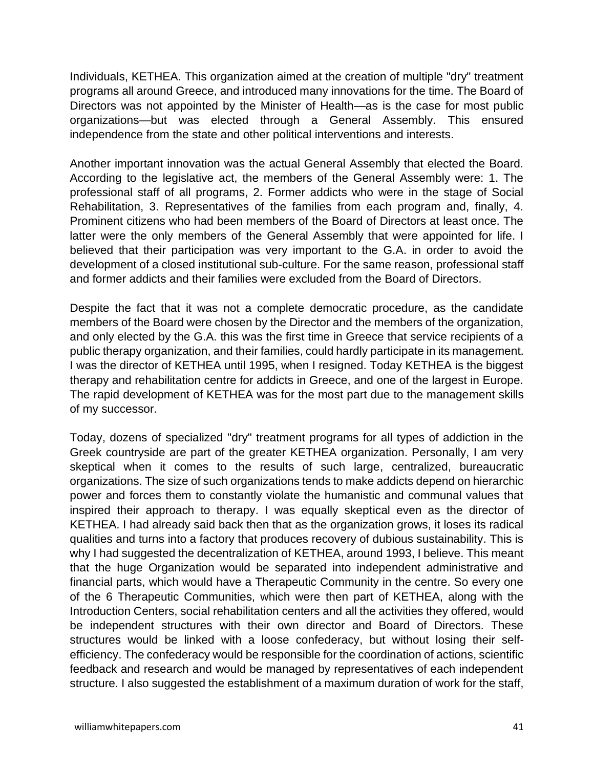Individuals, KETHEA. This organization aimed at the creation of multiple "dry" treatment programs all around Greece, and introduced many innovations for the time. The Board of Directors was not appointed by the Minister of Health—as is the case for most public organizations—but was elected through a General Assembly. This ensured independence from the state and other political interventions and interests.

Another important innovation was the actual General Assembly that elected the Board. According to the legislative act, the members of the General Assembly were: 1. The professional staff of all programs, 2. Former addicts who were in the stage of Social Rehabilitation, 3. Representatives of the families from each program and, finally, 4. Prominent citizens who had been members of the Board of Directors at least once. The latter were the only members of the General Assembly that were appointed for life. I believed that their participation was very important to the G.A. in order to avoid the development of a closed institutional sub-culture. For the same reason, professional staff and former addicts and their families were excluded from the Board of Directors.

Despite the fact that it was not a complete democratic procedure, as the candidate members of the Board were chosen by the Director and the members of the organization, and only elected by the G.A. this was the first time in Greece that service recipients of a public therapy organization, and their families, could hardly participate in its management. I was the director of KETHEA until 1995, when I resigned. Today KETHEA is the biggest therapy and rehabilitation centre for addicts in Greece, and one of the largest in Europe. The rapid development of KETHEA was for the most part due to the management skills of my successor.

Today, dozens of specialized "dry" treatment programs for all types of addiction in the Greek countryside are part of the greater KETHEA organization. Personally, I am very skeptical when it comes to the results of such large, centralized, bureaucratic organizations. The size of such organizations tends to make addicts depend on hierarchic power and forces them to constantly violate the humanistic and communal values that inspired their approach to therapy. I was equally skeptical even as the director of KETHEA. I had already said back then that as the organization grows, it loses its radical qualities and turns into a factory that produces recovery of dubious sustainability. This is why I had suggested the decentralization of KETHEA, around 1993, I believe. This meant that the huge Organization would be separated into independent administrative and financial parts, which would have a Therapeutic Community in the centre. So every one of the 6 Therapeutic Communities, which were then part of KETHEA, along with the Introduction Centers, social rehabilitation centers and all the activities they offered, would be independent structures with their own director and Board of Directors. These structures would be linked with a loose confederacy, but without losing their selfefficiency. The confederacy would be responsible for the coordination of actions, scientific feedback and research and would be managed by representatives of each independent structure. I also suggested the establishment of a maximum duration of work for the staff,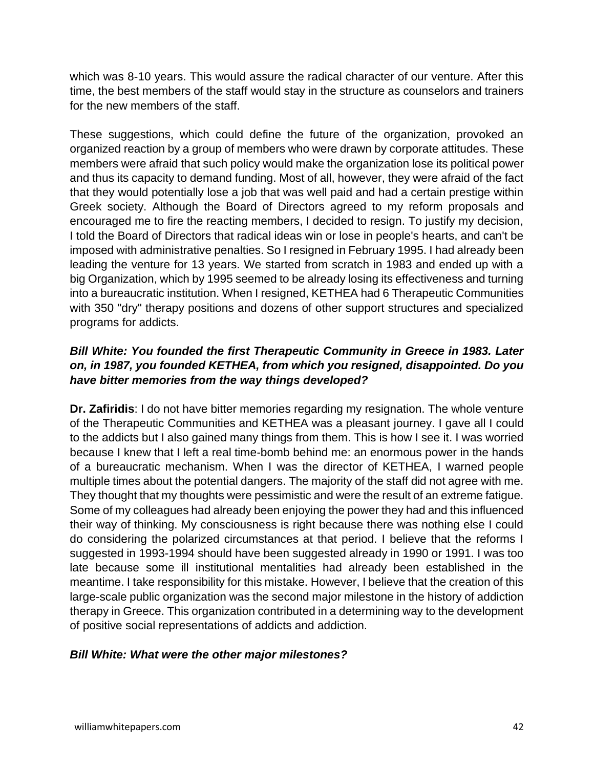which was 8-10 years. This would assure the radical character of our venture. After this time, the best members of the staff would stay in the structure as counselors and trainers for the new members of the staff.

These suggestions, which could define the future of the organization, provoked an organized reaction by a group of members who were drawn by corporate attitudes. These members were afraid that such policy would make the organization lose its political power and thus its capacity to demand funding. Most of all, however, they were afraid of the fact that they would potentially lose a job that was well paid and had a certain prestige within Greek society. Although the Board of Directors agreed to my reform proposals and encouraged me to fire the reacting members, I decided to resign. To justify my decision, I told the Board of Directors that radical ideas win or lose in people's hearts, and can't be imposed with administrative penalties. So I resigned in February 1995. I had already been leading the venture for 13 years. We started from scratch in 1983 and ended up with a big Organization, which by 1995 seemed to be already losing its effectiveness and turning into a bureaucratic institution. When I resigned, KETHEA had 6 Therapeutic Communities with 350 "dry" therapy positions and dozens of other support structures and specialized programs for addicts.

## *Bill White: You founded the first Therapeutic Community in Greece in 1983. Later on, in 1987, you founded KETHEA, from which you resigned, disappointed. Do you have bitter memories from the way things developed?*

**Dr. Zafiridis**: I do not have bitter memories regarding my resignation. The whole venture of the Therapeutic Communities and KETHEA was a pleasant journey. I gave all I could to the addicts but I also gained many things from them. This is how I see it. I was worried because I knew that I left a real time-bomb behind me: an enormous power in the hands of a bureaucratic mechanism. When I was the director of KETHEA, I warned people multiple times about the potential dangers. The majority of the staff did not agree with me. They thought that my thoughts were pessimistic and were the result of an extreme fatigue. Some of my colleagues had already been enjoying the power they had and this influenced their way of thinking. My consciousness is right because there was nothing else I could do considering the polarized circumstances at that period. I believe that the reforms I suggested in 1993-1994 should have been suggested already in 1990 or 1991. I was too late because some ill institutional mentalities had already been established in the meantime. I take responsibility for this mistake. However, I believe that the creation of this large-scale public organization was the second major milestone in the history of addiction therapy in Greece. This organization contributed in a determining way to the development of positive social representations of addicts and addiction.

## *Bill White: What were the other major milestones?*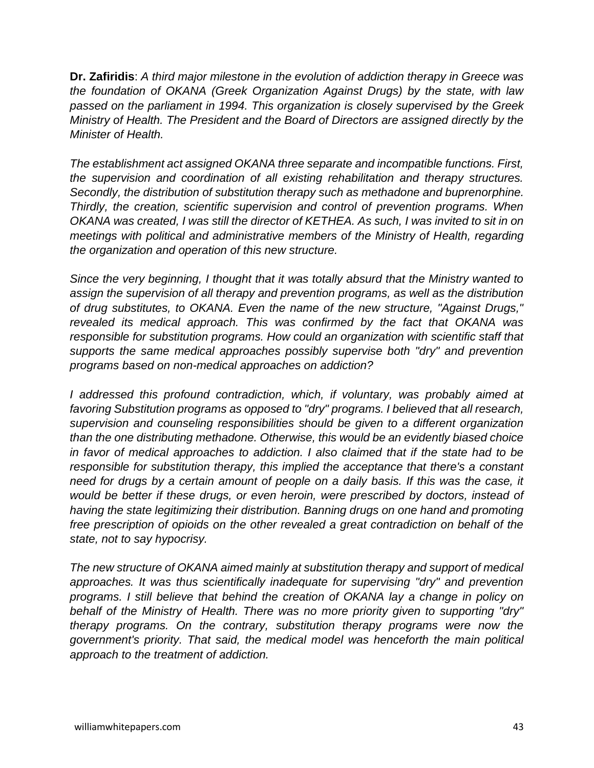**Dr. Zafiridis**: *A third major milestone in the evolution of addiction therapy in Greece was the foundation of OKANA (Greek Organization Against Drugs) by the state, with law passed on the parliament in 1994. This organization is closely supervised by the Greek Ministry of Health. The President and the Board of Directors are assigned directly by the Minister of Health.*

*The establishment act assigned OKANA three separate and incompatible functions. First, the supervision and coordination of all existing rehabilitation and therapy structures. Secondly, the distribution of substitution therapy such as methadone and buprenorphine. Thirdly, the creation, scientific supervision and control of prevention programs. When OKANA was created, I was still the director of KETHEA. As such, I was invited to sit in on meetings with political and administrative members of the Ministry of Health, regarding the organization and operation of this new structure.* 

*Since the very beginning, I thought that it was totally absurd that the Ministry wanted to assign the supervision of all therapy and prevention programs, as well as the distribution of drug substitutes, to OKANA. Even the name of the new structure, "Against Drugs," revealed its medical approach. This was confirmed by the fact that OKANA was responsible for substitution programs. How could an organization with scientific staff that supports the same medical approaches possibly supervise both "dry" and prevention programs based on non-medical approaches on addiction?* 

*I addressed this profound contradiction, which, if voluntary, was probably aimed at favoring Substitution programs as opposed to "dry" programs. I believed that all research, supervision and counseling responsibilities should be given to a different organization than the one distributing methadone. Otherwise, this would be an evidently biased choice in favor of medical approaches to addiction. I also claimed that if the state had to be responsible for substitution therapy, this implied the acceptance that there's a constant need for drugs by a certain amount of people on a daily basis. If this was the case, it would be better if these drugs, or even heroin, were prescribed by doctors, instead of having the state legitimizing their distribution. Banning drugs on one hand and promoting free prescription of opioids on the other revealed a great contradiction on behalf of the state, not to say hypocrisy.* 

*The new structure of OKANA aimed mainly at substitution therapy and support of medical approaches. It was thus scientifically inadequate for supervising "dry" and prevention programs. I still believe that behind the creation of OKANA lay a change in policy on behalf of the Ministry of Health. There was no more priority given to supporting "dry" therapy programs. On the contrary, substitution therapy programs were now the government's priority. That said, the medical model was henceforth the main political approach to the treatment of addiction.*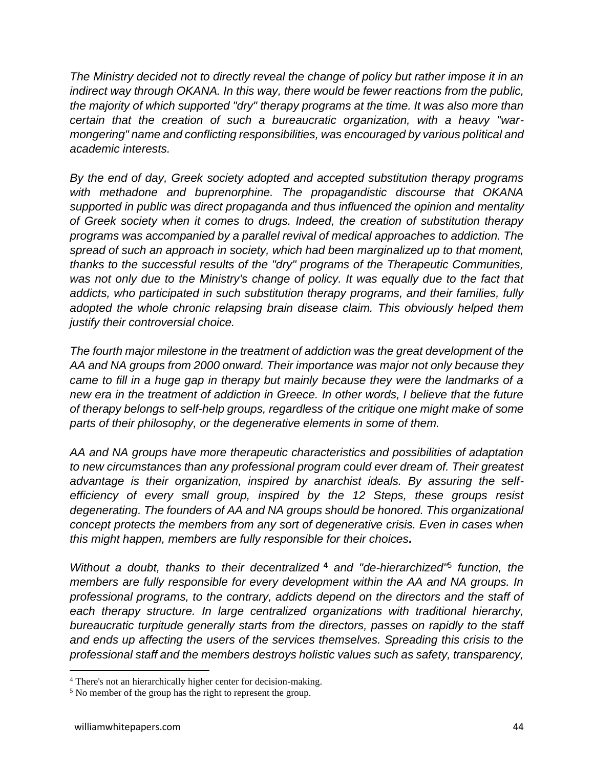*The Ministry decided not to directly reveal the change of policy but rather impose it in an indirect way through OKANA. In this way, there would be fewer reactions from the public, the majority of which supported "dry" therapy programs at the time. It was also more than certain that the creation of such a bureaucratic organization, with a heavy "warmongering" name and conflicting responsibilities, was encouraged by various political and academic interests.* 

*By the end of day, Greek society adopted and accepted substitution therapy programs with methadone and buprenorphine. The propagandistic discourse that OKANA supported in public was direct propaganda and thus influenced the opinion and mentality of Greek society when it comes to drugs. Indeed, the creation of substitution therapy programs was accompanied by a parallel revival of medical approaches to addiction. The spread of such an approach in society, which had been marginalized up to that moment, thanks to the successful results of the "dry" programs of the Therapeutic Communities, was not only due to the Ministry's change of policy. It was equally due to the fact that addicts, who participated in such substitution therapy programs, and their families, fully adopted the whole chronic relapsing brain disease claim. This obviously helped them justify their controversial choice.* 

*The fourth major milestone in the treatment of addiction was the great development of the AA and NA groups from 2000 onward. Their importance was major not only because they came to fill in a huge gap in therapy but mainly because they were the landmarks of a new era in the treatment of addiction in Greece. In other words, I believe that the future of therapy belongs to self-help groups, regardless of the critique one might make of some parts of their philosophy, or the degenerative elements in some of them.* 

*AA and NA groups have more therapeutic characteristics and possibilities of adaptation to new circumstances than any professional program could ever dream of. Their greatest advantage is their organization, inspired by anarchist ideals. By assuring the selfefficiency of every small group, inspired by the 12 Steps, these groups resist degenerating. The founders of AA and NA groups should be honored. This organizational concept protects the members from any sort of degenerative crisis. Even in cases when this might happen, members are fully responsible for their choices.* 

*Without a doubt, thanks to their decentralized* **<sup>4</sup>** *and "de-hierarchized"*<sup>5</sup> *function, the members are fully responsible for every development within the AA and NA groups. In professional programs, to the contrary, addicts depend on the directors and the staff of each therapy structure. In large centralized organizations with traditional hierarchy, bureaucratic turpitude generally starts from the directors, passes on rapidly to the staff and ends up affecting the users of the services themselves. Spreading this crisis to the professional staff and the members destroys holistic values such as safety, transparency,* 

<sup>4</sup> There's not an hierarchically higher center for decision-making.

<sup>&</sup>lt;sup>5</sup> No member of the group has the right to represent the group.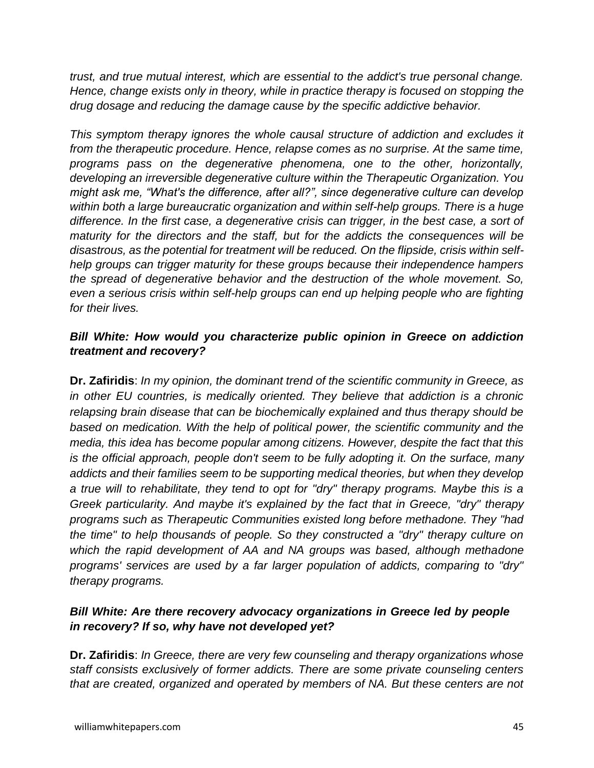*trust, and true mutual interest, which are essential to the addict's true personal change. Hence, change exists only in theory, while in practice therapy is focused on stopping the drug dosage and reducing the damage cause by the specific addictive behavior.*

*This symptom therapy ignores the whole causal structure of addiction and excludes it from the therapeutic procedure. Hence, relapse comes as no surprise. At the same time, programs pass on the degenerative phenomena, one to the other, horizontally, developing an irreversible degenerative culture within the Therapeutic Organization. You might ask me, "What's the difference, after all?", since degenerative culture can develop within both a large bureaucratic organization and within self-help groups. There is a huge difference. In the first case, a degenerative crisis can trigger, in the best case, a sort of maturity for the directors and the staff, but for the addicts the consequences will be disastrous, as the potential for treatment will be reduced. On the flipside, crisis within selfhelp groups can trigger maturity for these groups because their independence hampers the spread of degenerative behavior and the destruction of the whole movement. So, even a serious crisis within self-help groups can end up helping people who are fighting for their lives.*

## *Bill White: How would you characterize public opinion in Greece on addiction treatment and recovery?*

**Dr. Zafiridis**: *In my opinion, the dominant trend of the scientific community in Greece, as in other EU countries, is medically oriented. They believe that addiction is a chronic relapsing brain disease that can be biochemically explained and thus therapy should be based on medication. With the help of political power, the scientific community and the media, this idea has become popular among citizens. However, despite the fact that this is the official approach, people don't seem to be fully adopting it. On the surface, many addicts and their families seem to be supporting medical theories, but when they develop a true will to rehabilitate, they tend to opt for "dry" therapy programs. Maybe this is a Greek particularity. And maybe it's explained by the fact that in Greece, "dry" therapy programs such as Therapeutic Communities existed long before methadone. They "had the time" to help thousands of people. So they constructed a "dry" therapy culture on which the rapid development of AA and NA groups was based, although methadone programs' services are used by a far larger population of addicts, comparing to "dry" therapy programs.*

## *Bill White: Are there recovery advocacy organizations in Greece led by people in recovery? If so, why have not developed yet?*

**Dr. Zafiridis**: *In Greece, there are very few counseling and therapy organizations whose staff consists exclusively of former addicts. There are some private counseling centers that are created, organized and operated by members of NA. But these centers are not*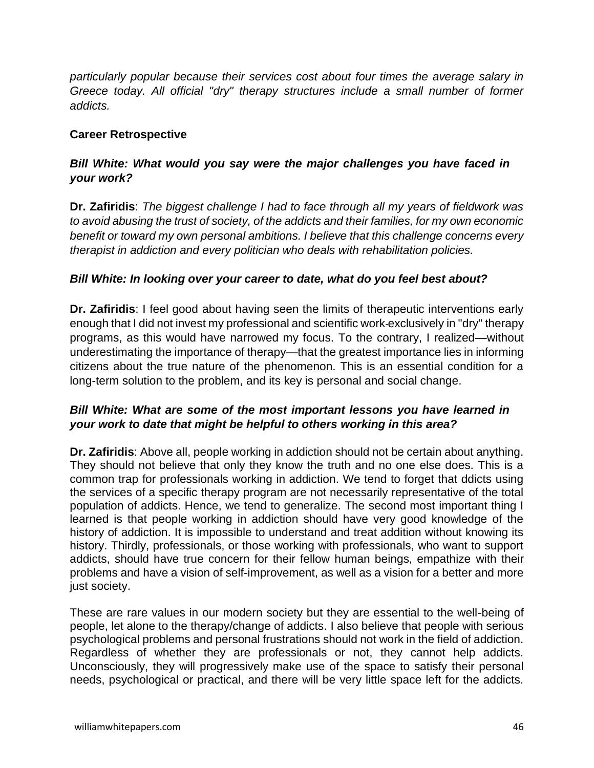*particularly popular because their services cost about four times the average salary in Greece today. All official "dry" therapy structures include a small number of former addicts.*

#### **Career Retrospective**

## *Bill White: What would you say were the major challenges you have faced in your work?*

**Dr. Zafiridis**: *The biggest challenge I had to face through all my years of fieldwork was to avoid abusing the trust of society, of the addicts and their families, for my own economic benefit or toward my own personal ambitions. I believe that this challenge concerns every therapist in addiction and every politician who deals with rehabilitation policies.*

#### *Bill White: In looking over your career to date, what do you feel best about?*

**Dr. Zafiridis**: I feel good about having seen the limits of therapeutic interventions early enough that I did not invest my professional and scientific work exclusively in "dry" therapy programs, as this would have narrowed my focus. To the contrary, I realized—without underestimating the importance of therapy—that the greatest importance lies in informing citizens about the true nature of the phenomenon. This is an essential condition for a long-term solution to the problem, and its key is personal and social change.

## *Bill White: What are some of the most important lessons you have learned in your work to date that might be helpful to others working in this area?*

**Dr. Zafiridis**: Above all, people working in addiction should not be certain about anything. They should not believe that only they know the truth and no one else does. This is a common trap for professionals working in addiction. We tend to forget that ddicts using the services of a specific therapy program are not necessarily representative of the total population of addicts. Hence, we tend to generalize. The second most important thing I learned is that people working in addiction should have very good knowledge of the history of addiction. It is impossible to understand and treat addition without knowing its history. Thirdly, professionals, or those working with professionals, who want to support addicts, should have true concern for their fellow human beings, empathize with their problems and have a vision of self-improvement, as well as a vision for a better and more just society.

These are rare values in our modern society but they are essential to the well-being of people, let alone to the therapy/change of addicts. I also believe that people with serious psychological problems and personal frustrations should not work in the field of addiction. Regardless of whether they are professionals or not, they cannot help addicts. Unconsciously, they will progressively make use of the space to satisfy their personal needs, psychological or practical, and there will be very little space left for the addicts.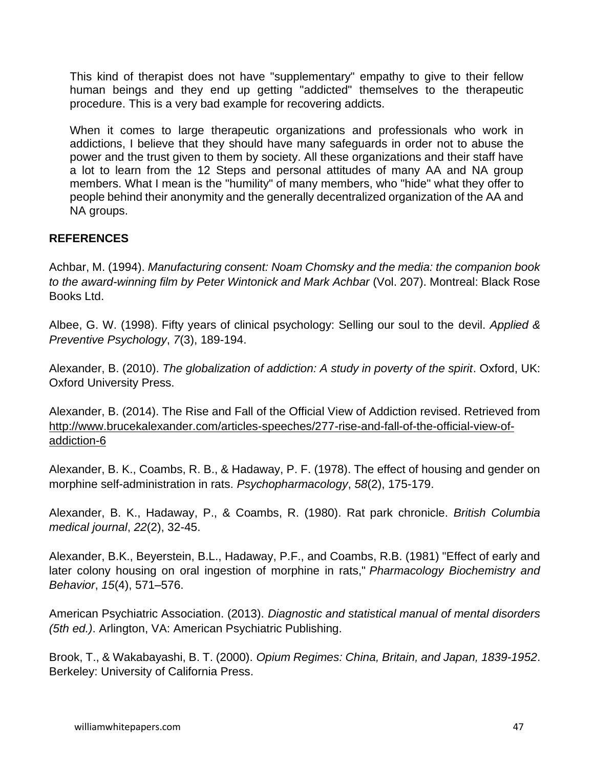This kind of therapist does not have "supplementary" empathy to give to their fellow human beings and they end up getting "addicted" themselves to the therapeutic procedure. This is a very bad example for recovering addicts.

When it comes to large therapeutic organizations and professionals who work in addictions, I believe that they should have many safeguards in order not to abuse the power and the trust given to them by society. All these organizations and their staff have a lot to learn from the 12 Steps and personal attitudes of many AA and NA group members. What I mean is the "humility" of many members, who "hide" what they offer to people behind their anonymity and the generally decentralized organization of the AA and NA groups.

## **REFERENCES**

Achbar, M. (1994). *Manufacturing consent: Noam Chomsky and the media: the companion book to the award-winning film by Peter Wintonick and Mark Achbar* (Vol. 207). Montreal: Black Rose Books Ltd.

Albee, G. W. (1998). Fifty years of clinical psychology: Selling our soul to the devil. *Applied & Preventive Psychology*, *7*(3), 189-194.

Alexander, B. (2010). *The globalization of addiction: A study in poverty of the spirit*. Oxford, UK: Oxford University Press.

Alexander, B. (2014). The Rise and Fall of the Official View of Addiction revised. Retrieved from [http://www.brucekalexander.com/articles-speeches/277-rise-and-fall-of-the-official-view-of](http://www.brucekalexander.com/articles-speeches/277-rise-and-fall-of-the-official-view-of-addiction-6)[addiction-6](http://www.brucekalexander.com/articles-speeches/277-rise-and-fall-of-the-official-view-of-addiction-6)

Alexander, B. K., Coambs, R. B., & Hadaway, P. F. (1978). The effect of housing and gender on morphine self-administration in rats. *Psychopharmacology*, *58*(2), 175-179.

Alexander, B. K., Hadaway, P., & Coambs, R. (1980). Rat park chronicle. *British Columbia medical journal*, *22*(2), 32-45.

Alexander, B.K., Beyerstein, B.L., Hadaway, P.F., and Coambs, R.B. (1981) "Effect of early and later colony housing on oral ingestion of morphine in rats," *Pharmacology Biochemistry and Behavior*, *15*(4), 571–576.

American Psychiatric Association. (2013). *Diagnostic and statistical manual of mental disorders (5th ed.)*. Arlington, VA: American Psychiatric Publishing.

Brook, T., & Wakabayashi, B. T. (2000). *Opium Regimes: China, Britain, and Japan, 1839-1952*. Berkeley: University of California Press.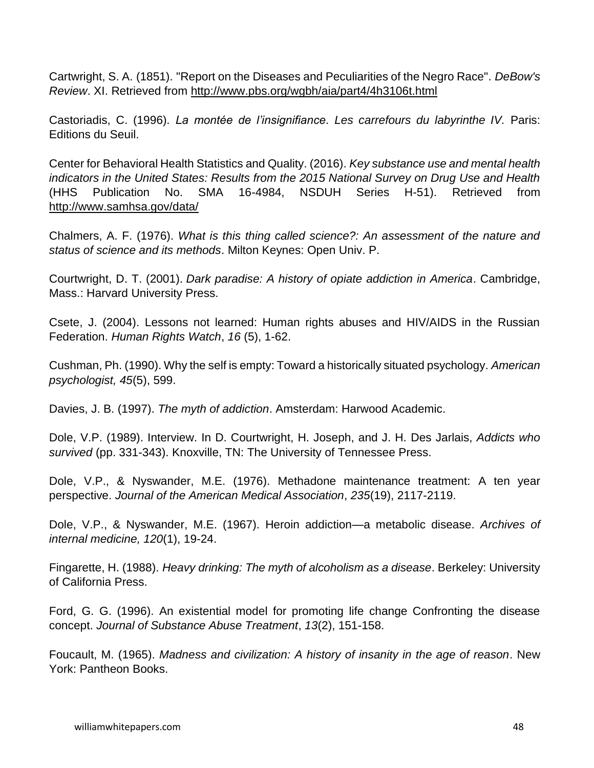[Cartwright, S. A.](https://en.wikipedia.org/wiki/Samuel_A._Cartwright) (1851). ["Report on the Diseases and Peculiarities of the Negro Race".](http://www.pbs.org/wgbh/aia/part4/4h3106t.html) *[DeBow's](https://en.wikipedia.org/wiki/DeBow%27s_Review)  [Review](https://en.wikipedia.org/wiki/DeBow%27s_Review)*. XI. Retrieved from<http://www.pbs.org/wgbh/aia/part4/4h3106t.html>

Castoriadis, C. (1996). *La montée de l'insignifiance*. *Les carrefours du labyrinthe IV.* Paris: Editions du Seuil.

Center for Behavioral Health Statistics and Quality. (2016). *Key substance use and mental health indicators in the United States: Results from the 2015 National Survey on Drug Use and Health*  (HHS Publication No. SMA 16-4984, NSDUH Series H-51). Retrieved from <http://www.samhsa.gov/data/>

Chalmers, A. F. (1976). *What is this thing called science?: An assessment of the nature and status of science and its methods*. Milton Keynes: Open Univ. P.

Courtwright, D. T. (2001). *Dark paradise: A history of opiate addiction in America*. Cambridge, Mass.: Harvard University Press.

Csete, J. (2004). Lessons not learned: Human rights abuses and HIV/AIDS in the Russian Federation. *Human Rights Watch*, *16* (5), 1-62.

Cushman, Ph. (1990). Why the self is empty: Toward a historically situated psychology. *American psychologist, 45*(5), 599.

Davies, J. B. (1997). *The myth of addiction*. Amsterdam: Harwood Academic.

Dole, V.P. (1989). Interview. In D. Courtwright, H. Joseph, and J. H. Des Jarlais, *Addicts who survived* (pp. 331-343). Knoxville, TN: The University of Tennessee Press.

Dole, V.P., & Nyswander, M.E. (1976). Methadone maintenance treatment: A ten year perspective. *Journal of the American Medical Association*, *235*(19), 2117-2119.

Dole, V.P., & Nyswander, M.E. (1967). Heroin addiction—a metabolic disease. *Archives of internal medicine, 120*(1), 19-24.

Fingarette, H. (1988). *Heavy drinking: The myth of alcoholism as a disease*. Berkeley: University of California Press.

Ford, G. G. (1996). An existential model for promoting life change Confronting the disease concept. *Journal of Substance Abuse Treatment*, *13*(2), 151-158.

Foucault, M. (1965). *Madness and civilization: A history of insanity in the age of reason*. New York: Pantheon Books.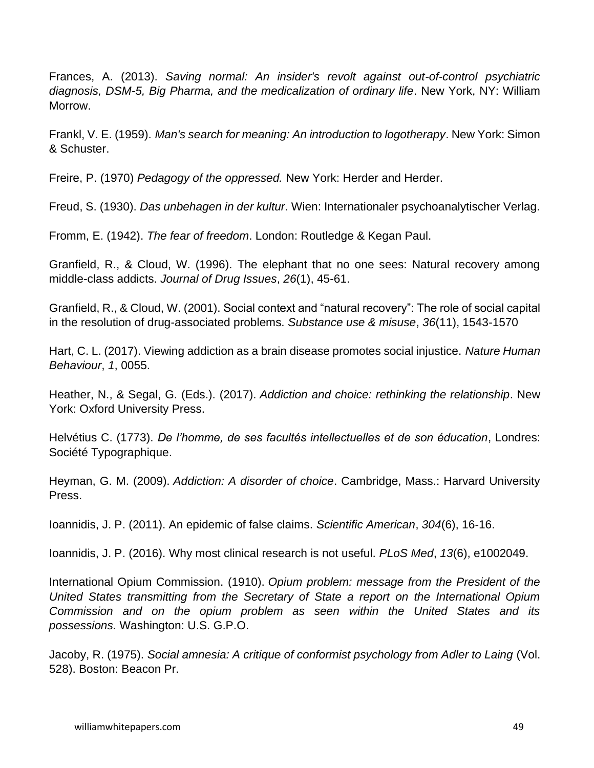Frances, A. (2013). *Saving normal: An insider's revolt against out-of-control psychiatric diagnosis, DSM-5, Big Pharma, and the medicalization of ordinary life*. New York, NY: William Morrow.

Frankl, V. E. (1959). *Man's search for meaning: An introduction to logotherapy*. New York: Simon & Schuster.

Freire, P. (1970) *Pedagogy of the oppressed.* New York: Herder and Herder.

Freud, S. (1930). *Das unbehagen in der kultur*. Wien: Internationaler psychoanalytischer Verlag.

Fromm, E. (1942). *The fear of freedom*. London: Routledge & Kegan Paul.

Granfield, R., & Cloud, W. (1996). The elephant that no one sees: Natural recovery among middle-class addicts. *Journal of Drug Issues*, *26*(1), 45-61.

Granfield, R., & Cloud, W. (2001). Social context and "natural recovery": The role of social capital in the resolution of drug-associated problems. *Substance use & misuse*, *36*(11), 1543-1570

Hart, C. L. (2017). Viewing addiction as a brain disease promotes social injustice. *Nature Human Behaviour*, *1*, 0055.

Heather, N., & Segal, G. (Eds.). (2017). *Addiction and choice: rethinking the relationship*. New York: Oxford University Press.

Helvétius C. (1773). *De l'homme, de ses facultés intellectuelles et de son éducation*, Londres: Société Typographique.

Heyman, G. M. (2009). *Addiction: A disorder of choice*. Cambridge, Mass.: Harvard University Press.

Ioannidis, J. P. (2011). An epidemic of false claims. *Scientific American*, *304*(6), 16-16.

Ioannidis, J. P. (2016). Why most clinical research is not useful. *PLoS Med*, *13*(6), e1002049.

International Opium Commission. (1910). *Opium problem: message from the President of the United States transmitting from the Secretary of State a report on the International Opium Commission and on the opium problem as seen within the United States and its possessions.* Washington: U.S. G.P.O.

Jacoby, R. (1975). *Social amnesia: A critique of conformist psychology from Adler to Laing* (Vol. 528). Boston: Beacon Pr.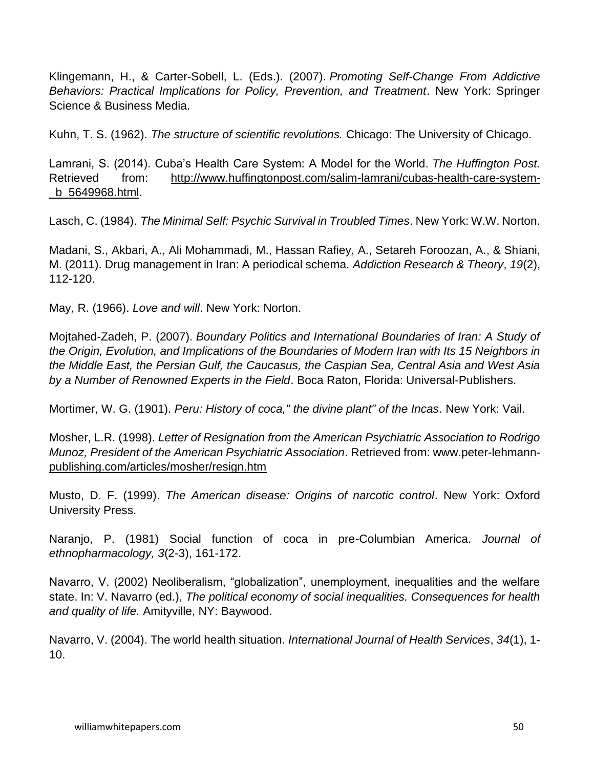Klingemann, H., & Carter-Sobell, L. (Eds.). (2007). *Promoting Self-Change From Addictive Behaviors: Practical Implications for Policy, Prevention, and Treatment*. New York: Springer Science & Business Media.

Kuhn, T. S. (1962). *The structure of scientific revolutions.* Chicago: The University of Chicago.

Lamrani, S. (2014). Cuba's Health Care System: A Model for the World. *The Huffington Post.*  Retrieved from: [http://www.huffingtonpost.com/salim-lamrani/cubas-health-care-system-](http://www.huffingtonpost.com/salim-lamrani/cubas-health-care-system-_b_5649968.html) [\\_b\\_5649968.html.](http://www.huffingtonpost.com/salim-lamrani/cubas-health-care-system-_b_5649968.html)

Lasch, C. (1984). *The Minimal Self: Psychic Survival in Troubled Times*. New York: W.W. Norton.

Madani, S., Akbari, A., Ali Mohammadi, M., Hassan Rafiey, A., Setareh Foroozan, A., & Shiani, M. (2011). Drug management in Iran: A periodical schema. *Addiction Research & Theory*, *19*(2), 112-120.

May, R. (1966). *Love and will*. New York: Norton.

Mojtahed-Zadeh, P. (2007). *Boundary Politics and International Boundaries of Iran: A Study of the Origin, Evolution, and Implications of the Boundaries of Modern Iran with Its 15 Neighbors in the Middle East, the Persian Gulf, the Caucasus, the Caspian Sea, Central Asia and West Asia by a Number of Renowned Experts in the Field*. Boca Raton, Florida: Universal-Publishers.

Mortimer, W. G. (1901). *Peru: History of coca," the divine plant" of the Incas*. New York: Vail.

Mosher, L.R. (1998). *Letter of Resignation from the American Psychiatric Association to Rodrigo Munoz, President of the American Psychiatric Association*. Retrieved from: [www.peter-lehmann](http://www.peter-lehmann-publishing.com/articles/mosher/resign.htm)[publishing.com/articles/mosher/resign.htm](http://www.peter-lehmann-publishing.com/articles/mosher/resign.htm)

Musto, D. F. (1999). *The American disease: Origins of narcotic control*. New York: Oxford University Press.

Naranjo, P. (1981) Social function of coca in pre-Columbian America. *Journal of ethnopharmacology, 3*(2-3), 161-172.

Navarro, V. (2002) Neoliberalism, "globalization", unemployment, inequalities and the welfare state. In: V. Navarro (ed.), *The political economy of social inequalities. Consequences for health and quality of life.* Amityville, NY: Baywood.

Navarro, V. (2004). The world health situation. *International Journal of Health Services*, *34*(1), 1- 10.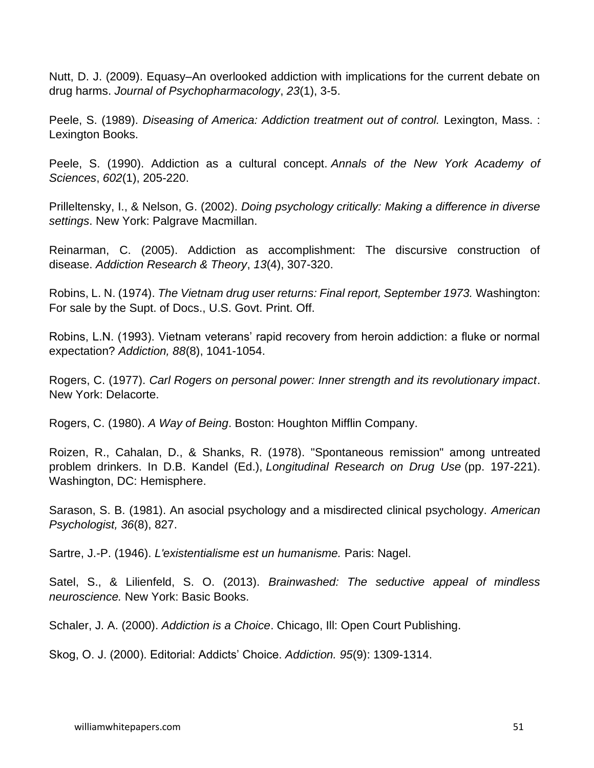Nutt, D. J. (2009). Equasy–An overlooked addiction with implications for the current debate on drug harms. *Journal of Psychopharmacology*, *23*(1), 3-5.

Peele, S. (1989). *Diseasing of America: Addiction treatment out of control.* Lexington, Mass. : Lexington Books.

Peele, S. (1990). Addiction as a cultural concept. *Annals of the New York Academy of Sciences*, *602*(1), 205-220.

Prilleltensky, I., & Nelson, G. (2002). *Doing psychology critically: Making a difference in diverse settings*. New York: Palgrave Macmillan.

Reinarman, C. (2005). Addiction as accomplishment: The discursive construction of disease. *Addiction Research & Theory*, *13*(4), 307-320.

Robins, L. N. (1974). *The Vietnam drug user returns: Final report, September 1973.* Washington: For sale by the Supt. of Docs., U.S. Govt. Print. Off.

Robins, L.N. (1993). Vietnam veterans' rapid recovery from heroin addiction: a fluke or normal expectation? *Addiction, 88*(8), 1041-1054.

Rogers, C. (1977). *Carl Rogers on personal power: Inner strength and its revolutionary impact*. New York: Delacorte.

Rogers, C. (1980). *A Way of Being*. Boston: Houghton Mifflin Company.

Roizen, R., Cahalan, D., & Shanks, R. (1978). "Spontaneous remission" among untreated problem drinkers. In D.B. Kandel (Ed.), *Longitudinal Research on Drug Use* (pp. 197-221). Washington, DC: Hemisphere.

Sarason, S. B. (1981). An asocial psychology and a misdirected clinical psychology. *American Psychologist, 36*(8), 827.

Sartre, J.-P. (1946). *L'existentialisme est un humanisme.* Paris: Nagel.

Satel, S., & Lilienfeld, S. O. (2013). *Brainwashed: The seductive appeal of mindless neuroscience.* New York: Basic Books.

Schaler, J. A. (2000). *Addiction is a Choice*. Chicago, Ill: Open Court Publishing.

Skog, O. J. (2000). Editorial: Addicts' Choice. *Addiction. 95*(9): 1309-1314.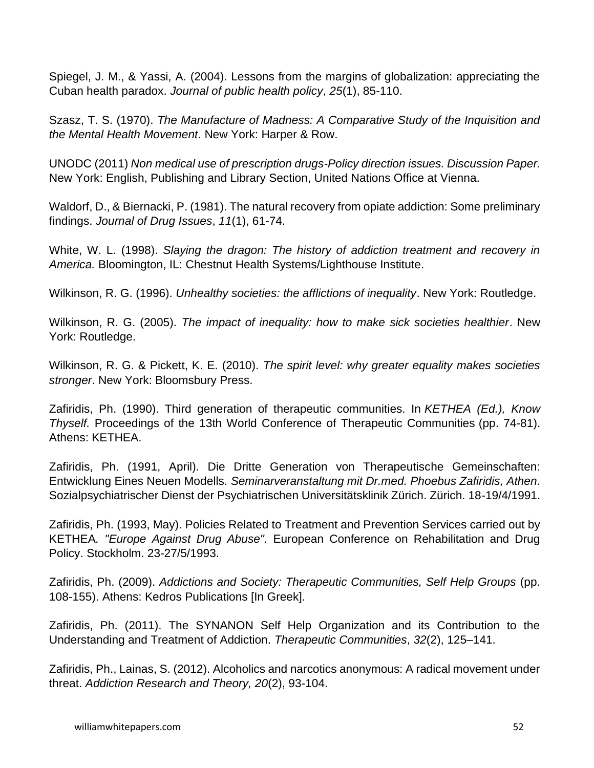Spiegel, J. M., & Yassi, A. (2004). Lessons from the margins of globalization: appreciating the Cuban health paradox. *Journal of public health policy*, *25*(1), 85-110.

Szasz, T. S. (1970). *The Manufacture of Madness: A Comparative Study of the Inquisition and the Mental Health Movement*. New York: Harper & Row.

UNODC (2011) *Non medical use of prescription drugs-Policy direction issues. Discussion Paper.* New York: English, Publishing and Library Section, United Nations Office at Vienna.

Waldorf, D., & Biernacki, P. (1981). The natural recovery from opiate addiction: Some preliminary findings. *Journal of Drug Issues*, *11*(1), 61-74.

White, W. L. (1998). *Slaying the dragon: The history of addiction treatment and recovery in America.* Bloomington, IL: Chestnut Health Systems/Lighthouse Institute.

Wilkinson, R. G. (1996). *Unhealthy societies: the afflictions of inequality*. New York: Routledge.

Wilkinson, R. G. (2005). *The impact of inequality: how to make sick societies healthier*. New York: Routledge.

Wilkinson, R. G. & Pickett, K. E. (2010). *The spirit level: why greater equality makes societies stronger*. New York: Bloomsbury Press.

Zafiridis, Ph. (1990). Third generation of therapeutic communities. In *KETHEA (Ed.), Know Thyself.* Proceedings of the 13th World Conference of Therapeutic Communities (pp. 74-81). Athens: KETHEA.

Zafiridis, Ph. (1991, April). Die Dritte Generation von Therapeutische Gemeinschaften: Entwicklung Eines Neuen Modells. *Seminarveranstaltung mit Dr.med. Phoebus Zafiridis, Athen.* Sozialpsychiatrischer Dienst der Psychiatrischen Universitätsklinik Zürich. Zürich. 18-19/4/1991.

Zafiridis, Ph. (1993, May). Policies Related to Treatment and Prevention Services carried out by KETHEA*. "Europe Against Drug Abuse".* European Conference on Rehabilitation and Drug Policy. Stockholm. 23-27/5/1993.

Zafiridis, Ph. (2009). *Addictions and Society: Therapeutic Communities, Self Help Groups* (pp. 108-155). Athens: Kedros Publications [In Greek].

Zafiridis, Ph. (2011). The SYNANON Self Help Organization and its Contribution to the Understanding and Treatment of Addiction. *Therapeutic Communities*, *32*(2), 125–141.

Zafiridis, Ph., Lainas, S. (2012). Alcoholics and narcotics anonymous: A radical movement under threat. *Addiction Research and Theory, 20*(2), 93-104.